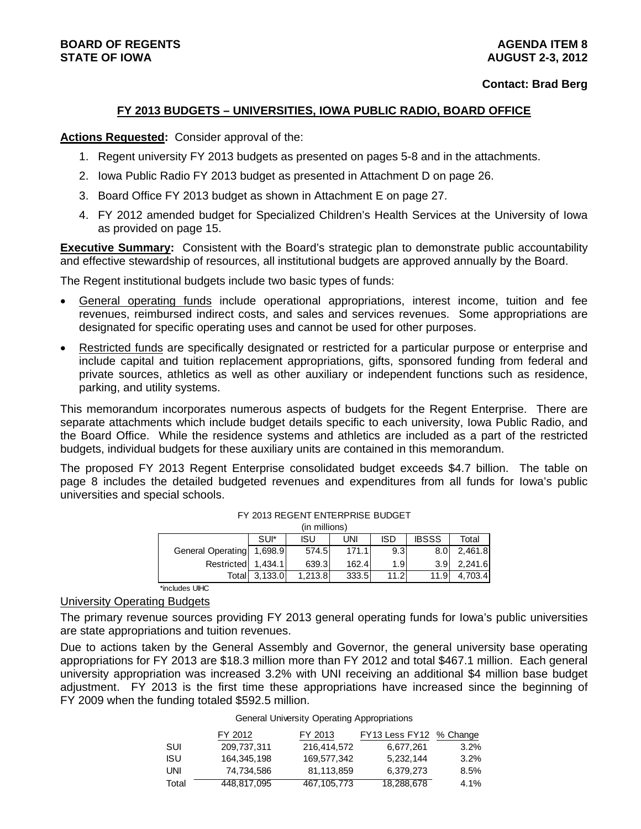#### **FY 2013 BUDGETS – UNIVERSITIES, IOWA PUBLIC RADIO, BOARD OFFICE**

#### **Actions Requested:** Consider approval of the:

- 1. Regent university FY 2013 budgets as presented on pages 5-8 and in the attachments.
- 2. Iowa Public Radio FY 2013 budget as presented in Attachment D on page 26.
- 3. Board Office FY 2013 budget as shown in Attachment E on page 27.
- 4. FY 2012 amended budget for Specialized Children's Health Services at the University of Iowa as provided on page 15.

**Executive Summary:** Consistent with the Board's strategic plan to demonstrate public accountability and effective stewardship of resources, all institutional budgets are approved annually by the Board.

The Regent institutional budgets include two basic types of funds:

- General operating funds include operational appropriations, interest income, tuition and fee revenues, reimbursed indirect costs, and sales and services revenues. Some appropriations are designated for specific operating uses and cannot be used for other purposes.
- Restricted funds are specifically designated or restricted for a particular purpose or enterprise and include capital and tuition replacement appropriations, gifts, sponsored funding from federal and private sources, athletics as well as other auxiliary or independent functions such as residence, parking, and utility systems.

This memorandum incorporates numerous aspects of budgets for the Regent Enterprise. There are separate attachments which include budget details specific to each university, Iowa Public Radio, and the Board Office. While the residence systems and athletics are included as a part of the restricted budgets, individual budgets for these auxiliary units are contained in this memorandum.

The proposed FY 2013 Regent Enterprise consolidated budget exceeds \$4.7 billion. The table on page 8 includes the detailed budgeted revenues and expenditures from all funds for Iowa's public universities and special schools.

|                   |         | (in millions) |       |                  |                  |         |
|-------------------|---------|---------------|-------|------------------|------------------|---------|
|                   | SUI*    | isu           | UNI   | <b>ISD</b>       | <b>IBSSS</b>     | Total   |
| General Operating | 1,698.9 | 574.5         | 171.1 | 9.3              | 8.0 <sub>l</sub> | 2,461.8 |
| Restricted        | 1.434.1 | 639.3         | 162.4 | 1.9 <sup>1</sup> | 3.9 <sub>l</sub> | 2,241.6 |
| Totall            | 3,133.0 | 1.213.8       | 333.5 | 11.2             | 11.9             | 4.703.4 |
| *includes UIHC    |         |               |       |                  |                  |         |

#### FY 2013 REGENT ENTERPRISE BUDGET

University Operating Budgets

The primary revenue sources providing FY 2013 general operating funds for Iowa's public universities are state appropriations and tuition revenues.

Due to actions taken by the General Assembly and Governor, the general university base operating appropriations for FY 2013 are \$18.3 million more than FY 2012 and total \$467.1 million. Each general university appropriation was increased 3.2% with UNI receiving an additional \$4 million base budget adjustment. FY 2013 is the first time these appropriations have increased since the beginning of FY 2009 when the funding totaled \$592.5 million.

#### General University Operating Appropriations

|       | FY 2012     | FY 2013     | FY13 Less FY12 % Change |         |
|-------|-------------|-------------|-------------------------|---------|
| SUI   | 209.737.311 | 216.414.572 | 6,677,261               | 3.2%    |
| ISU   | 164,345,198 | 169.577.342 | 5,232,144               | 3.2%    |
| UNI   | 74.734.586  | 81.113.859  | 6.379.273               | 8.5%    |
| Total | 448.817.095 | 467.105.773 | 18,288,678              | $4.1\%$ |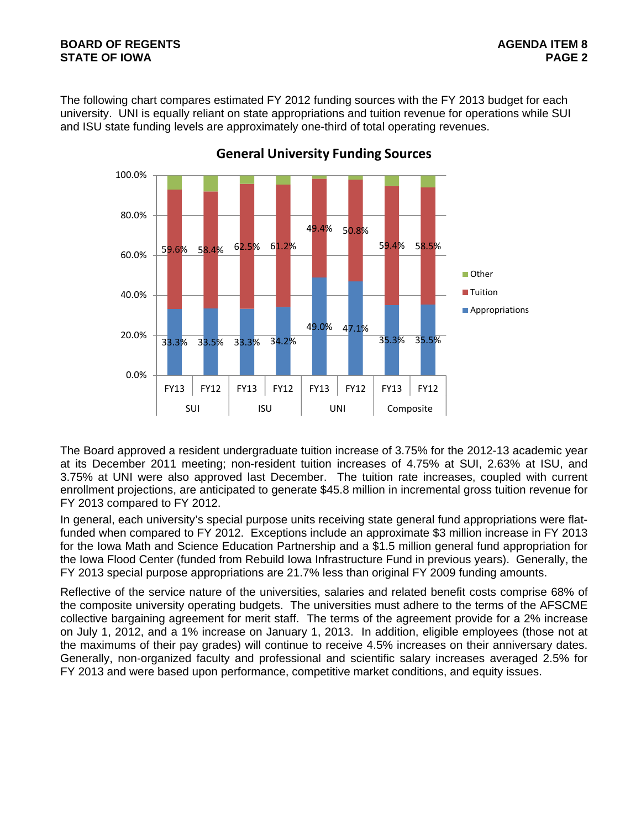#### **BOARD OF REGENTS AGENTS** AGENDA ITEM 8 **STATE OF IOWA** PAGE 2

The following chart compares estimated FY 2012 funding sources with the FY 2013 budget for each university. UNI is equally reliant on state appropriations and tuition revenue for operations while SUI and ISU state funding levels are approximately one-third of total operating revenues.



**General University Funding Sources**

The Board approved a resident undergraduate tuition increase of 3.75% for the 2012-13 academic year at its December 2011 meeting; non-resident tuition increases of 4.75% at SUI, 2.63% at ISU, and 3.75% at UNI were also approved last December. The tuition rate increases, coupled with current enrollment projections, are anticipated to generate \$45.8 million in incremental gross tuition revenue for FY 2013 compared to FY 2012.

In general, each university's special purpose units receiving state general fund appropriations were flatfunded when compared to FY 2012. Exceptions include an approximate \$3 million increase in FY 2013 for the Iowa Math and Science Education Partnership and a \$1.5 million general fund appropriation for the Iowa Flood Center (funded from Rebuild Iowa Infrastructure Fund in previous years). Generally, the FY 2013 special purpose appropriations are 21.7% less than original FY 2009 funding amounts.

Reflective of the service nature of the universities, salaries and related benefit costs comprise 68% of the composite university operating budgets. The universities must adhere to the terms of the AFSCME collective bargaining agreement for merit staff. The terms of the agreement provide for a 2% increase on July 1, 2012, and a 1% increase on January 1, 2013. In addition, eligible employees (those not at the maximums of their pay grades) will continue to receive 4.5% increases on their anniversary dates. Generally, non-organized faculty and professional and scientific salary increases averaged 2.5% for FY 2013 and were based upon performance, competitive market conditions, and equity issues.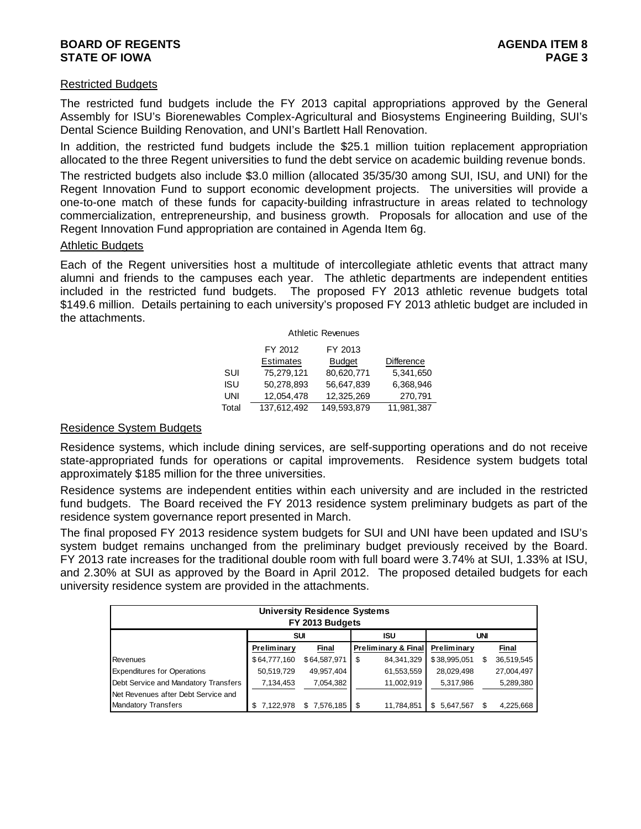#### **BOARD OF REGENTS** AGENERATION OF REGENTS **STATE OF IOWA** PAGE 3

#### Restricted Budgets

The restricted fund budgets include the FY 2013 capital appropriations approved by the General Assembly for ISU's Biorenewables Complex-Agricultural and Biosystems Engineering Building, SUI's Dental Science Building Renovation, and UNI's Bartlett Hall Renovation.

In addition, the restricted fund budgets include the \$25.1 million tuition replacement appropriation allocated to the three Regent universities to fund the debt service on academic building revenue bonds.

The restricted budgets also include \$3.0 million (allocated 35/35/30 among SUI, ISU, and UNI) for the Regent Innovation Fund to support economic development projects. The universities will provide a one-to-one match of these funds for capacity-building infrastructure in areas related to technology commercialization, entrepreneurship, and business growth. Proposals for allocation and use of the Regent Innovation Fund appropriation are contained in Agenda Item 6g.

#### Athletic Budgets

Each of the Regent universities host a multitude of intercollegiate athletic events that attract many alumni and friends to the campuses each year. The athletic departments are independent entities included in the restricted fund budgets. The proposed FY 2013 athletic revenue budgets total \$149.6 million. Details pertaining to each university's proposed FY 2013 athletic budget are included in the attachments.

|       |                  | <b>Athletic Revenues</b> |                   |
|-------|------------------|--------------------------|-------------------|
|       | FY 2012          | FY 2013                  |                   |
|       | <b>Estimates</b> | <b>Budget</b>            | <b>Difference</b> |
| SUI   | 75,279,121       | 80,620,771               | 5,341,650         |
| ISU   | 50.278.893       | 56,647,839               | 6.368.946         |
| UNI   | 12,054,478       | 12,325,269               | 270,791           |
| Total | 137,612,492      | 149,593,879              | 11,981,387        |

#### Residence System Budgets

Residence systems, which include dining services, are self-supporting operations and do not receive state-appropriated funds for operations or capital improvements. Residence system budgets total approximately \$185 million for the three universities.

Residence systems are independent entities within each university and are included in the restricted fund budgets. The Board received the FY 2013 residence system preliminary budgets as part of the residence system governance report presented in March.

The final proposed FY 2013 residence system budgets for SUI and UNI have been updated and ISU's system budget remains unchanged from the preliminary budget previously received by the Board. FY 2013 rate increases for the traditional double room with full board were 3.74% at SUI, 1.33% at ISU, and 2.30% at SUI as approved by the Board in April 2012. The proposed detailed budgets for each university residence system are provided in the attachments.

|                                      |                    | <b>University Residence Systems</b><br>FY 2013 Budgets |                     |            |                 |     |            |
|--------------------------------------|--------------------|--------------------------------------------------------|---------------------|------------|-----------------|-----|------------|
|                                      | SUI                |                                                        | <b>ISU</b>          |            |                 | UNI |            |
|                                      | <b>Preliminary</b> | Final                                                  | Preliminary & Final |            | Preliminary     |     | Final      |
| Revenues                             | \$64,777,160       | \$64,587,971                                           | \$                  | 84,341,329 | \$38,995,051    | S   | 36,519,545 |
| <b>Expenditures for Operations</b>   | 50,519,729         | 49,957,404                                             |                     | 61,553,559 | 28,029,498      |     | 27,004,497 |
| Debt Service and Mandatory Transfers | 7,134,453          | 7,054,382                                              |                     | 11,002,919 | 5,317,986       |     | 5,289,380  |
| Net Revenues after Debt Service and  |                    |                                                        |                     |            |                 |     |            |
| <b>Mandatory Transfers</b>           | 7.122.978          | \$7.576.185                                            |                     | 11,784,851 | 5,647,567<br>\$ |     | 4,225,668  |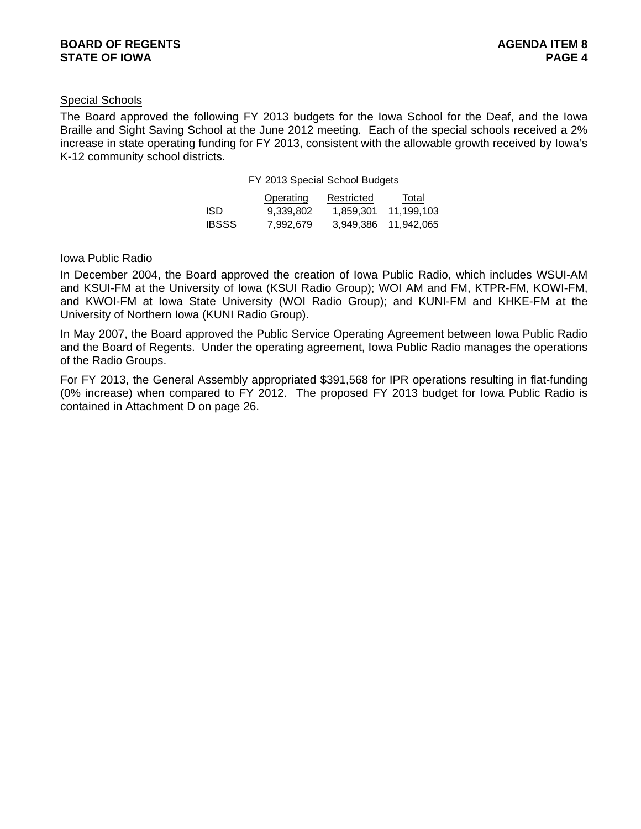#### Special Schools

The Board approved the following FY 2013 budgets for the Iowa School for the Deaf, and the Iowa Braille and Sight Saving School at the June 2012 meeting. Each of the special schools received a 2% increase in state operating funding for FY 2013, consistent with the allowable growth received by Iowa's K-12 community school districts.

| FY 2013 Special School Budgets |  |  |  |  |
|--------------------------------|--|--|--|--|
|--------------------------------|--|--|--|--|

|              | Operating | Restricted | Total      |
|--------------|-----------|------------|------------|
| ISD.         | 9.339.802 | 1.859.301  | 11,199,103 |
| <b>IBSSS</b> | 7.992.679 | 3.949.386  | 11,942,065 |

#### Iowa Public Radio

In December 2004, the Board approved the creation of Iowa Public Radio, which includes WSUI-AM and KSUI-FM at the University of Iowa (KSUI Radio Group); WOI AM and FM, KTPR-FM, KOWI-FM, and KWOI-FM at Iowa State University (WOI Radio Group); and KUNI-FM and KHKE-FM at the University of Northern Iowa (KUNI Radio Group).

In May 2007, the Board approved the Public Service Operating Agreement between Iowa Public Radio and the Board of Regents. Under the operating agreement, Iowa Public Radio manages the operations of the Radio Groups.

For FY 2013, the General Assembly appropriated \$391,568 for IPR operations resulting in flat-funding (0% increase) when compared to FY 2012. The proposed FY 2013 budget for Iowa Public Radio is contained in Attachment D on page 26.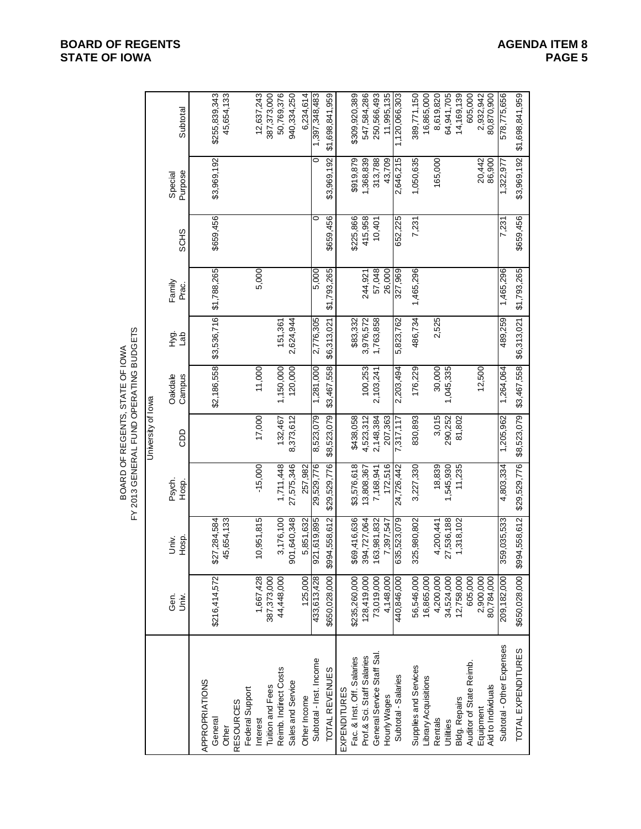|                                        |                    | Subtotal           | \$255,839,343             | 45,654,133  |                  | 12,637,243                  | 387,373,000             | 50,769,376            | 940,334,250       | 6,234,614    | 1,397,348,483           | \$1,698,841,959 |                     | \$309,920,389              | 547,584,286                | 250,566,493                | 11,995,135   | 1,120,066,303       | 389,771,150           | 16,865,000           | 8,619,820 | 64,941,705 | 14,169,139           | 605,000                 | 2,932,942 | 80,870,900         | 578,775,656               | \$1,698,841,959    |
|----------------------------------------|--------------------|--------------------|---------------------------|-------------|------------------|-----------------------------|-------------------------|-----------------------|-------------------|--------------|-------------------------|-----------------|---------------------|----------------------------|----------------------------|----------------------------|--------------|---------------------|-----------------------|----------------------|-----------|------------|----------------------|-------------------------|-----------|--------------------|---------------------------|--------------------|
|                                        |                    | Purpose<br>Special |                           | \$3,969,192 |                  |                             |                         |                       |                   |              | $\circ$                 | \$3,969,192     |                     | \$919,879                  | 1,368,839                  | 313,788                    | 43,709       | 2,646,215           | 1,050,635             |                      | 165,000   |            |                      |                         | 20,442    | 86,900             | 1,322,977                 | \$3,969,192        |
|                                        |                    | <b>SCHS</b>        |                           | \$659,456   |                  |                             |                         |                       |                   |              | 0                       | \$659,456       |                     | \$225,866                  | 415,958                    | 10,401                     |              | 652,225             | 7,231                 |                      |           |            |                      |                         |           |                    | 7,231                     | \$659,456          |
|                                        |                    | Family<br>Prac.    |                           | \$1,788,265 |                  | 5,000                       |                         |                       |                   |              | 5,000                   | \$1,793,265     |                     |                            | 244,921                    | 57,048                     | 26,000       | 896'228             | 1,465,296             |                      |           |            |                      |                         |           |                    | 1,465,296                 | \$1,793,265        |
|                                        |                    | Уg.<br>del         |                           | \$3,536,716 |                  |                             |                         | 151,361               | 2,624,944         |              | 2,776,305               | \$6,313,021     |                     | \$83,332                   | 3,976,572                  | 1,763,858                  |              | 5,823,762           | 486,734               |                      | 2,525     |            |                      |                         |           |                    | 489,259                   | \$6,313,021        |
| BOARD OF REGENTS, STATE OF IOWA        |                    | Oakdale<br>Campus  |                           | \$2,186,558 |                  | 11,000                      |                         | 1,150,000             | 120,000           |              | 1,281,000               | \$3,467,558     |                     |                            | 100.253                    | 2,103,241                  |              | 2,203,494           | 176,229               |                      | 30,000    | 1,045,335  |                      |                         | 12,500    |                    | 1,264,064                 | \$3,467,558        |
|                                        | University of lowa | ado                |                           |             |                  | 17,000                      |                         | 132,467               | 8,373,612         |              | 8,523,079               | \$8,523,079     |                     | \$438,058                  | 4,523,312                  | 2,148,384                  | 207,363      | 7,317,117           | 830,893               |                      | 3,015     | 290,252    | 81,802               |                         |           |                    | 1,205,962                 | \$8,523,079        |
| FY 2013 GENERAL FUND OPERATING BUDGETS |                    | Psych.<br>Hosp.    |                           |             |                  | $-15,000$                   |                         | 1,711,448             | 27,575,346        | 257,982      | 29,529,776              | \$29,529,776    |                     | \$3,576,618                | 13,808,367                 | 7,168,941                  | 172,516      | 24,726,442          | 3,227,330             |                      | 18,839    | 1,545,930  | 11,235               |                         |           |                    | 4,803,334                 | \$29,529,776       |
|                                        |                    | Hosp.<br>Univ.     | \$27,284,584              | 45,654,133  |                  | 10,951,815                  |                         | 3,176,100             | 901,640,348       | 5,851,632    | 921,619,895             | \$994,558,612   |                     | 69,416,636<br>↮            | 394,727,064                | 163,981,832                | 7,397,547    | 635,523,079         | 325,980,802           |                      | 4,200,441 | 27,536,188 | 1,318,102            |                         |           |                    | 359,035,533               | \$994,558,612      |
|                                        |                    | Gen.<br>Univ.      | \$216,414,572             |             |                  | 1,667,428                   | 387,373,000             | 44,448,000            |                   | 125,000      | 433,613,428             | \$650,028,000   |                     | \$235,260,000              | 128,419,000                | 73,019,000                 | 4,148,000    | 440,846,000         | 56,546,000            | 16,865,000           | 4,200,000 | 34,524,000 | 12,758,000           | 605,000                 | 2,900,000 | 80,784,000         | 209,182,000               | \$650,028,000      |
|                                        |                    |                    | APPROPRIATIONS<br>General | Other       | <b>RESOURCES</b> | Federal Support<br>Interest | <b>Tuition and Fees</b> | Reimb. Indirect Costs | Sales and Service | Other Income | Subtotal - Inst. Income | TOTAL REVENUES  | <b>EXPENDITURES</b> | Fac. & Inst. Off. Salaries | Prof.& Sci. Staff Salaries | General Service Staff Sal. | Hourly Wages | Subtotal - Salaries | Supplies and Services | Library Acquisitions | Rentals   | Utilities  | <b>Bldg. Repairs</b> | Auditor of State Reimb. | Equipment | Aid to Individuals | Subtotal - Other Expenses | TOTAL EXPENDITURES |

#### **BOARD OF REGENTS**<br> **BOARD OF REGENTS**<br> **BOARD OF IOWA**<br>
PAGE 5 **STATE OF IOWA**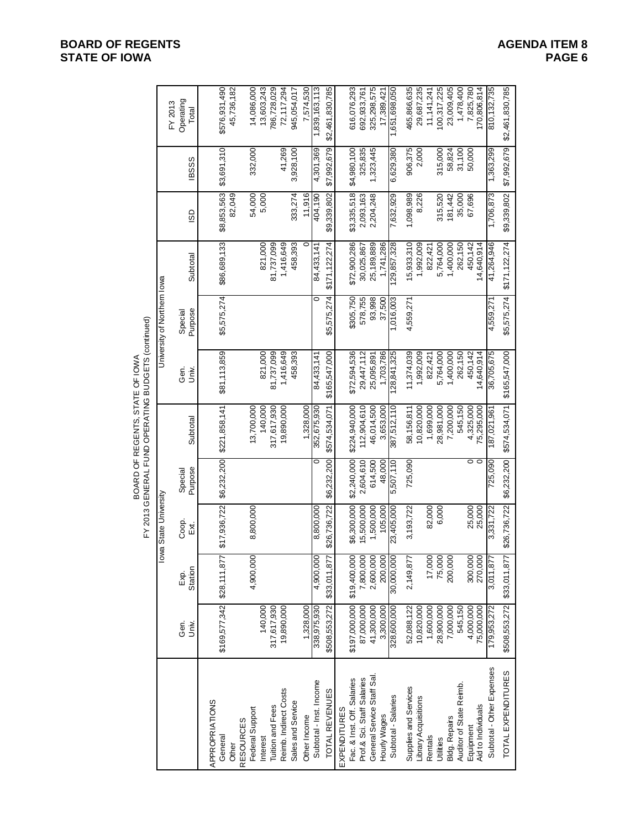|                                                    |                             | Operating<br>FY 2013<br>Total | \$576,931,490             | 45,736,182                | 14,086,000      | 13,603,243<br>786,728,029    | 72,117,294            | 945,054,017       | 7,574,530    | 1,839,163,113           | \$2,461,830,785 |                     | 616,076,293                | 692,933,761                | 325,298,575               | 17,389,421   | 1,651,698,050       | 465,866,635           | 29,687,235           | 11, 141, 241 | 100,317,225 | 23,009,405           | 1,478,400               | 7,825,780       | 170,806,814        | 810, 132, 735             | \$2,461,830,785            |
|----------------------------------------------------|-----------------------------|-------------------------------|---------------------------|---------------------------|-----------------|------------------------------|-----------------------|-------------------|--------------|-------------------------|-----------------|---------------------|----------------------------|----------------------------|---------------------------|--------------|---------------------|-----------------------|----------------------|--------------|-------------|----------------------|-------------------------|-----------------|--------------------|---------------------------|----------------------------|
|                                                    |                             | <b>BSSS</b>                   | \$3,691,310               |                           | 332,000         |                              | 41,269                | 3,928,100         |              | 4,301,369               | \$7,992,679     |                     | \$4,980,100                | 325,835                    | 1,323,445                 |              | 6,629,380           | 906,375               | 2,000                |              | 315,000     | 58,824               | 31,100                  | 50,000          |                    | 1,363,299                 | \$7,992,679                |
|                                                    |                             | GO                            | \$8,853,563               | 82,049                    | 54,000          | 5,000                        |                       | 333,274           | 11,916       | 404,190                 | \$9,339,802     |                     | \$3,335,518                | 2,093,163                  | 2,204,248                 |              | 7,632,929           | 1,098,989             | 8,226                |              | 315,520     | 181,442              | 35,000                  | 67,696          |                    | 1,706,873                 | \$9,339,802                |
|                                                    |                             | Subtotal                      | \$86,689,133              |                           |                 | 821,000<br>81,737,099        | 1,416,649             | 458,393           | 0            | 84,433,141              | \$171,122,274   |                     | \$72,900,286               | 30,025,867                 | 25,189,889                | 1,741,286    | 129,857,328         | 15,933,310            | 1,992,009            | 822,421      | 5,764,000   | 1,400,000            | 262,150                 | 450,142         | 14,640,914         | 41,264,946                | \$171,122,274              |
|                                                    | University of Northern lowa | Purpose<br>Special            | \$5,575,274               |                           |                 |                              |                       |                   |              |                         | \$5,575,274     |                     | \$305,750                  | 578,755                    | 93,998                    | 37,500       | 1,016,003           | 4,559,27              |                      |              |             |                      |                         |                 |                    | 4,559,271                 | \$5,575,274                |
| FY 2013 GENERAL FUND OPERATING BUDGETS (continued) |                             | Gen.<br>i<br>Š                | \$81,113,859              |                           |                 | 821,000<br>81,737,099        | 1,416,649             | 458,393           |              | 84,433,141              | \$165,547,000   |                     | \$72,594,536               | 29,447,112                 | 25,095,891                | 1,703,786    | 128,841,325         | 11,374,039            | 1,992,009            | 822,421      | 5,764,000   | 1,400,000            | 262,150                 | 450,142         | 14,640,914         | 36,705,675                | \$165,547,000              |
| BOARD OF REGENTS, STATE OF IOWA                    |                             | Subtotal                      | \$221,858,141             |                           | 13,700,000      | 140,000<br>317,617,930       | 19,890,000            |                   | 1,328,000    | 352,675,930             | \$574,534,071   |                     | \$224,940,000              | 112,904,610                | 46,014,500                | 3,653,000    | 387,512,110         | 58,156,811            | 10,820,000           | 1,699,000    | 28,981,000  | 7,200,000            | 545,150                 | 4,325,000       | 75,295,000         | 187,021,961               | \$574,534,071              |
|                                                    |                             | Purpose<br>Special            | \$6,232,200               |                           |                 |                              |                       |                   |              |                         | \$6,232,200     |                     | \$2,240,000                | 2,604,610                  | 614,500                   | 48,000       | 5,507,110           | 725,090               |                      |              |             |                      |                         | $\circ$ $\circ$ |                    | 725,090                   | \$6,232,200                |
|                                                    | lowa State University       | Coop.<br>Exi,                 | \$17,936,722              |                           | 8,800,000       |                              |                       |                   |              | 8,800,000               | \$26,736,722    |                     | \$6,300,000                | 15,500,000                 | 1,500,000                 | 105,000      | 23,405,000          | 3,193,722             |                      | 82,000       | 6,000       |                      |                         | 25,000          | 25,000             | 3,331,722                 | \$26,736,722               |
|                                                    |                             | Station<br>E xi               | \$28,111,877              |                           | 4,900,000       |                              |                       |                   |              | 4,900,000               | \$33,011,87     |                     | \$19,400,000               | 7,800,000                  | 2,600,000                 | 200,000      | 30,000,000          | 2,149,877             |                      | 17,000       | 75,000      | 200,000              |                         | 300,000         | 270,000            | 3,011,877                 |                            |
|                                                    |                             | Gen.<br>Univ.                 | \$169,577,342             |                           |                 | 140,000<br>317,617,930       | 19,890,000            |                   | 1,328,000    | 338,975,930             | \$508,553,272   |                     | \$197,000,000              | 87,000,000                 | 41,300,000                | 3,300,000    | 328,600,000         | 52,088,122            | 10,820,000           | 1,600,000    | 28,900,000  | 7,000,000            | 545,150                 | 4,000,000       | 75,000,000         | 179,953,272               | \$508,553,272 \$33,011,877 |
|                                                    |                             |                               | APPROPRIATIONS<br>General | <b>RESOURCES</b><br>Other | Federal Support | Tuition and Fees<br>Interest | Reimb. Indirect Costs | Sales and Service | Other Income | Subtotal - Inst. Income | TOTAL REVENUES  | <b>EXPENDITURES</b> | Fac. & Inst. Off. Salaries | Prof.& Sci. Staff Salaries | General Service Staff Sal | Hourly Wages | Subtotal - Salaries | Supplies and Services | Library Acquisitions | Rentals      | Utilities   | <b>Bldg. Repairs</b> | Auditor of State Reimb. | Equipment       | Aid to Individuals | Subtotal - Other Expenses | TOTAL EXPENDITURES         |

### **BOARD OF REGENTS**<br> **BOARD OF REGENTS**<br> **BOARD OF IOWA**<br>
PAGE 6 **STATE OF IOWA**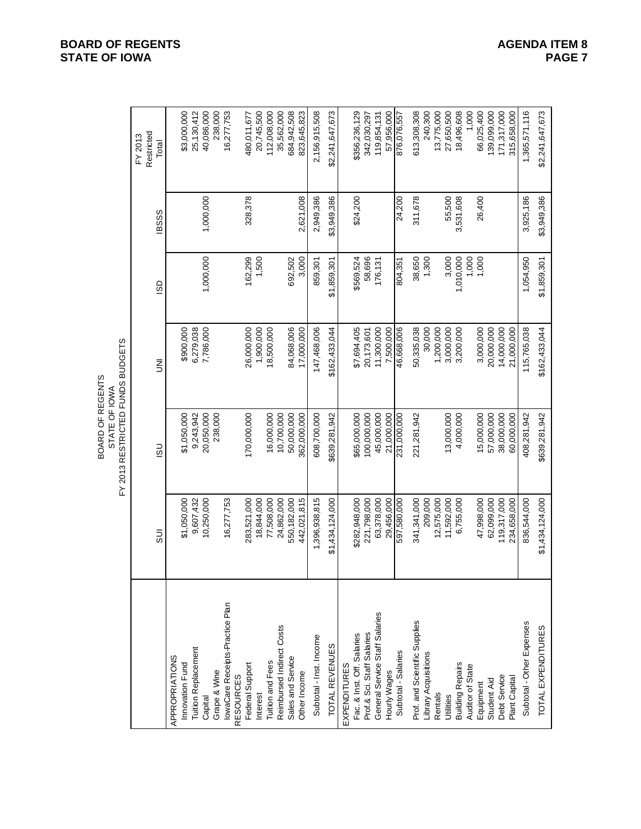|                                 |                 | FY 2013 RESTRICTED FUNDS BUDGETS<br>BOARD OF REGENTS<br>STATE OF IOWA |               |             |              |                                |
|---------------------------------|-----------------|-----------------------------------------------------------------------|---------------|-------------|--------------|--------------------------------|
|                                 | $\overline{5}$  | $\overline{5}$                                                        | ξ             | GSI         | <b>IBSSS</b> | Restricted<br>FY 2013<br>Total |
| APPROPRIATIONS                  |                 |                                                                       |               |             |              |                                |
| Innovation Fund                 | \$1,050,000     | \$1,050,000                                                           | \$900,000     |             |              | \$3,000,000                    |
| <b>Tuition Replacement</b>      | 9,607,432       | 9,243,942                                                             | 6,279,038     |             |              | 25,130,412                     |
| Grape & Wine<br>Capital         | 10,250,000      | 20,050,000<br>238,000                                                 | 7,786,000     | 1,000,000   | 1,000,000    | 40,086,000<br>238,000          |
| IowaCare Receipts-Practice Plan | 16,277,753      |                                                                       |               |             |              | 16,277,753                     |
| <b>RESOURCES</b>                |                 |                                                                       |               |             |              |                                |
| Federal Support                 | 283,521,000     | 170,000,000                                                           | 26,000,000    | 162,299     | 328,378      | 480,011,677                    |
| Interest                        | 18,844,000      |                                                                       | 1,900,000     | 1,500       |              | 20,745,500                     |
| Tuition and Fees                | 77,508,000      | 16,000,000                                                            | 18,500,000    |             |              | 112,008,000                    |
| Reimbursed Indirect Costs       | 24,862,000      | 10,700,000                                                            |               |             |              | 35,562,000                     |
| Sales and Service               | 550,182,000     | 50,000,000                                                            | 84,068,006    | 692,502     |              | 684,942,508                    |
| Other Income                    | 442,021,815     | 362,000,000                                                           | 17,000,000    | 3,000       | 2,621,008    | 823,645,823                    |
| Subtotal - Inst. Income         | 1,396,938,815   | 608,700,000                                                           | 147,468,006   | 859,301     | 2,949,386    | 2,156,915,508                  |
| TOTAL REVENUES                  | \$1,434,124,000 | \$639,281,942                                                         | \$162,433,044 | \$1,859,301 | \$3,949,386  | \$2,241,647,673                |
| EXPENDITURES                    |                 |                                                                       |               |             |              |                                |
| Fac. & Inst. Off. Salaries      | \$282,948,000   | \$65,000,000                                                          | \$7,694,405   | \$569,524   | \$24,200     | \$356,236,129                  |
| Prof.& Sci. Staff Salaries      | 221,798,000     | 100,000,000                                                           | 20,173,601    | 58,696      |              | 342,030,297                    |
| General Service Staff Salaries  | 63,378,000      | 45,000,000                                                            | 11,300,000    | 176,131     |              | 119,854,131                    |
| Hourly Wages                    | 29,456,000      | 21,000,000                                                            | 7,500,000     |             |              | 57,956,000                     |
| Subtotal - Salaries             | 597,580,000     | 231,000,000                                                           | 46,668,006    | 804,351     | 24,200       | 876,076,557                    |
| Prof. and Scientific Supplies   | 341,341,000     | 221,281,942                                                           | 50,335,038    | 38,650      | 311,678      | 613,308,308                    |
| Library Acquisitions            | 209,000         |                                                                       | 30,000        | 1,300       |              | 240,300                        |
| Rentals                         | 12,575,000      |                                                                       | 1,200,000     |             |              | 13,775,000                     |
| Utilities                       | 11,592,000      | 13,000,000                                                            | 3,000,000     | 3,000       | 55,500       | 27,650,500                     |
| <b>Building Repairs</b>         | 6,755,000       | 4,000,000                                                             | 3,200,000     | 1,010,000   | 3,531,608    | 18,496,608                     |
| Auditor of State                |                 |                                                                       |               | 1,000       |              | 1,000                          |
| Equipment                       | 47,998,000      | 15,000,000                                                            | 3,000,000     | 1,000       | 26,400       | 66,025,400                     |
| Student Aid                     | 62,099,000      | 57,000,000                                                            | 20,000,000    |             |              | 139,099,000                    |
| Debt Service                    | 119,317,000     | 38,000,000                                                            | 14,000,000    |             |              | 171,317,000                    |
| Plant Capital                   | 234,658,000     | 60,000,000                                                            | 21,000,000    |             |              | 315,658,000                    |
| Subtotal - Other Expenses       | 836,544,000     | 408,281,942                                                           | 115,765,038   | 1,054,950   | 3,925,186    | 1,365,571,116                  |
| TOTAL EXPENDITURES              | \$1,434,124,000 | \$639,281,942                                                         | \$162,433,044 | \$1,859,301 | \$3,949,386  | \$2,241,647,673                |

**BOARD OF REGENTS**<br> **BOARD OF REGENTS**<br> **BOARD OF IOWA**<br>
PAGE 7 **STATE OF IOWA**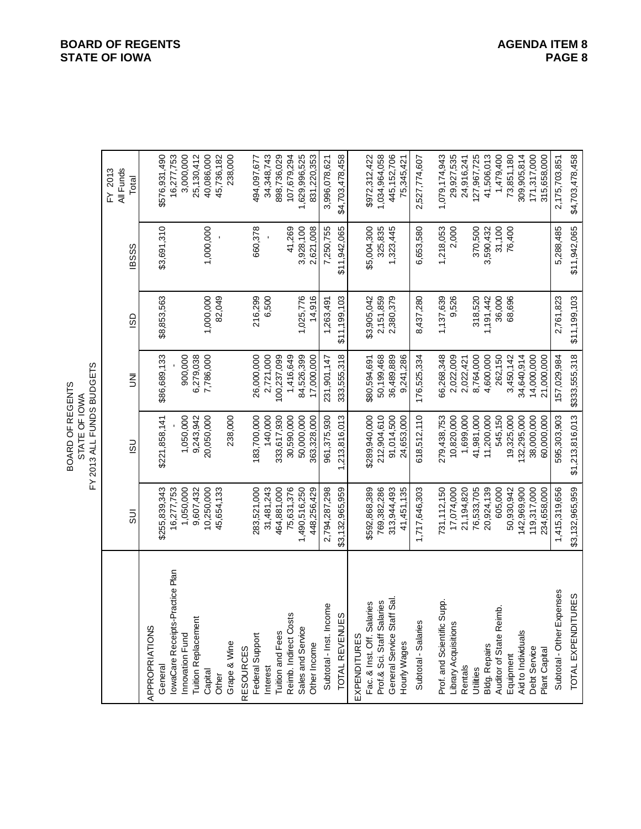| 9UDC<br>OF REGENTS<br>ഗ<br>$\frac{1}{2}$<br>₽<br>Ö<br><b>STATE</b><br>ဥ<br>2013 |
|---------------------------------------------------------------------------------|
|---------------------------------------------------------------------------------|

|                                                                | All Funds<br>FY 2013 | Total          |                | 16,277,753<br>\$576,931,490                | 3,000,000       | 25,130,412                 | 40,086,000 | 238,000<br>45,736,182 |                  | 494,097,677     | 34,348,743 | 898,736,029      | 107,679,294           | 1,629,996,525     | 831,220,353  | 3,996,078,621           | \$4,703,478,458 | \$972,312,422                              | 1,034,964,058              | 445,152,706<br>75,345,421                         | 2,527,774,607       | 1,079,174,943              | 29,927,535           | 24,916,241 | 127,967,725 | 41,506,013    | 1,479,400                   | 73,851,180<br>309,905,814       | 171,317,000  | 315,658,000   | 2,175,703,851             | \$4,703,478,458         |
|----------------------------------------------------------------|----------------------|----------------|----------------|--------------------------------------------|-----------------|----------------------------|------------|-----------------------|------------------|-----------------|------------|------------------|-----------------------|-------------------|--------------|-------------------------|-----------------|--------------------------------------------|----------------------------|---------------------------------------------------|---------------------|----------------------------|----------------------|------------|-------------|---------------|-----------------------------|---------------------------------|--------------|---------------|---------------------------|-------------------------|
|                                                                |                      | <b>IBSSS</b>   |                | \$3,691,310                                |                 |                            | 1,000,000  |                       |                  | 660,378         |            |                  | 41,269                | 3,928,100         | 2,621,008    | 7,250,755               | \$11,942,065    | \$5,004,300                                | 325,835                    | 1,323,445                                         | 6,653,580           | 1,218,053                  | 2,000                |            | 370,500     | 3,590,432     | 31,100                      | 76,400                          |              |               | 5,288,485                 | \$11,942,065            |
|                                                                |                      | GS             |                | \$8,853,563                                |                 |                            | 1,000,000  | 82,049                |                  | 216,299         | 6,500      |                  |                       | 1,025,776         | 14,916       | 1,263,491               | \$11,199,103    | \$3,905,042                                | 2,151,859                  | 2,380,379                                         | 8,437,280           | 1,137,639                  | 9,526                |            | 318,520     | 1,191,442     | 36,000                      | 68,696                          |              |               | 2,761,823                 | \$11,199,103            |
|                                                                |                      | ξ              |                | \$86,689,133                               | 900,000         | 6,279,038                  | 7,786,000  |                       |                  | 26,000,000      | 2,721,000  | 100,237,099      | 1,416,649             | 84,526,399        | 17,000,000   | 231,901,147             | 333,555,318     | \$80,594,691                               | 50,199,468                 | 36,489,889<br>9,241,286                           | 176,525,334         | 66,268,348                 | 2,022,009            | 2,022,421  | 8,764,000   | 4,600,000     | 262,150                     | 3,450,142<br>34,640,914         | 14,000,000   | 21,000,000    | 157,029,984               | \$333,555,318           |
| FY 2013 ALL FUNDS BUDGETS<br>BOARD OF REGENTS<br>STATE OF IOWA |                      | <u>ငွ</u>      |                | \$221,858,141                              | 1,050,000       | 9,243,942                  | 20,050,000 | 238,000               |                  | 183,700,000     | 140,000    | 333,617,930      | 30,590,000            | 50,000,000        | 363,328,000  | 961,375,930             | 1,213,816,013   | \$289,940,000                              | 212,904,610                | 91,014,500<br>24,653,000                          | 618,512,110         | 279,438,753                | 10,820,000           | 1,699,000  | 41,981,000  | 11,200,000    | 545,150                     | 19,325,000<br>132,295,000       | 38,000,000   | 60,000,000    | 595,303,903               | \$1,213,816,013         |
|                                                                |                      | $\overline{5}$ |                | 16,277,753<br>\$255,839,343                | 1,050,000       | 9,607,432                  | 10,250,000 | 45,654,133            |                  | 283,521,000     | 31,481,243 | 464,881,000      | 75,631,376            | 1,490,516,250     | 448,256,429  | 2,794,287,298           | \$3,132,965,959 | \$592,868,389                              | 769,382,286                | 313,944,493<br>41,451,135                         | 1,717,646,303       | 731, 112, 150              | 17,074,000           | 21,194,820 | 76,533,705  | 20,924,139    | 605,000                     | 142,969,900<br>50,930,942       | 119,317,000  | 234,658,000   | 1,415,319,656             | \$3,132,965,959         |
|                                                                |                      |                | APPROPRIATIONS | IowaCare Receipts-Practice Plan<br>General | Innovation Fund | <b>Tuition Replacement</b> | Capital    | Grape & Wine<br>Other | <b>RESOURCES</b> | Federal Support | Interest   | Tuition and Fees | Reimb. Indirect Costs | Sales and Service | Other Income | Subtotal - Inst. Income | TOTAL REVENUES  | Fac. & Inst. Off. Salaries<br>EXPENDITURES | Prof.& Sci. Staff Salaries | .<br>Sai<br>General Service Staff<br>Hourly Wages | Subtotal - Salaries | Prof. and Scientific Supp. | Library Acquisitions | Rentals    | Utilities   | Bldg. Repairs | نج<br>Auditor of State Reim | Aid to Individuals<br>Equipment | Debt Service | Plant Capital | Subtotal - Other Expenses | JRES<br>TOTAL EXPENDITL |

**BOARD OF REGENTS**<br> **BOARD OF REGENTS**<br> **BOARD OF IOWA**<br>
PAGE 8 **STATE OF IOWA**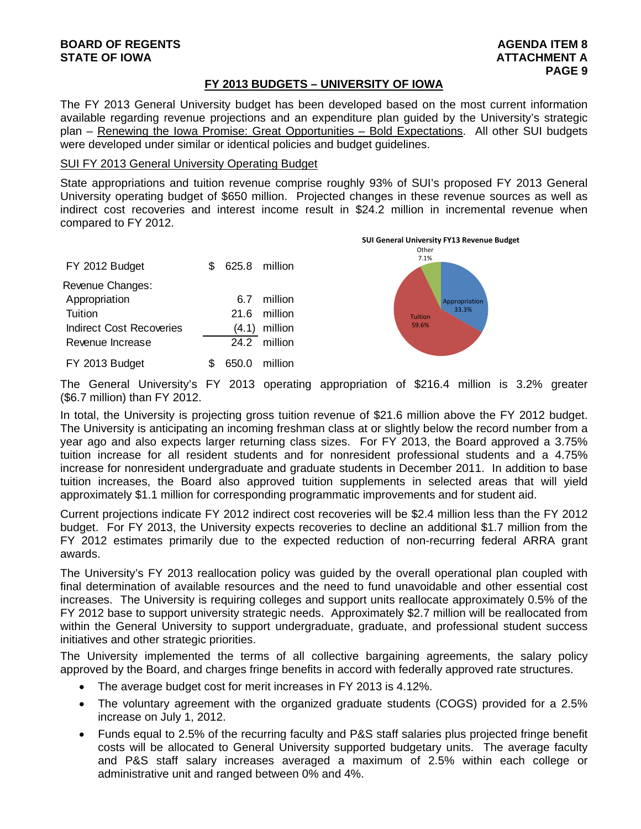#### **FY 2013 BUDGETS – UNIVERSITY OF IOWA**

The FY 2013 General University budget has been developed based on the most current information available regarding revenue projections and an expenditure plan guided by the University's strategic plan – Renewing the Iowa Promise: Great Opportunities – Bold Expectations. All other SUI budgets were developed under similar or identical policies and budget guidelines.

#### SUI FY 2013 General University Operating Budget

State appropriations and tuition revenue comprise roughly 93% of SUI's proposed FY 2013 General University operating budget of \$650 million. Projected changes in these revenue sources as well as indirect cost recoveries and interest income result in \$24.2 million in incremental revenue when compared to FY 2012.

| FY 2012 Budget           | \$. | 625.8 million |                 |
|--------------------------|-----|---------------|-----------------|
| Revenue Changes:         |     |               |                 |
| Appropriation            |     |               | 6.7 million     |
| Tuition                  |     |               | 21.6 million    |
| Indirect Cost Recoveries |     |               | $(4.1)$ million |
| Revenue Increase         |     |               | 24.2 million    |
| FY 2013 Budget           |     |               | 650.0 million   |



The General University's FY 2013 operating appropriation of \$216.4 million is 3.2% greater (\$6.7 million) than FY 2012.

In total, the University is projecting gross tuition revenue of \$21.6 million above the FY 2012 budget. The University is anticipating an incoming freshman class at or slightly below the record number from a year ago and also expects larger returning class sizes. For FY 2013, the Board approved a 3.75% tuition increase for all resident students and for nonresident professional students and a 4.75% increase for nonresident undergraduate and graduate students in December 2011. In addition to base tuition increases, the Board also approved tuition supplements in selected areas that will yield approximately \$1.1 million for corresponding programmatic improvements and for student aid.

Current projections indicate FY 2012 indirect cost recoveries will be \$2.4 million less than the FY 2012 budget. For FY 2013, the University expects recoveries to decline an additional \$1.7 million from the FY 2012 estimates primarily due to the expected reduction of non-recurring federal ARRA grant awards.

The University's FY 2013 reallocation policy was guided by the overall operational plan coupled with final determination of available resources and the need to fund unavoidable and other essential cost increases. The University is requiring colleges and support units reallocate approximately 0.5% of the FY 2012 base to support university strategic needs. Approximately \$2.7 million will be reallocated from within the General University to support undergraduate, graduate, and professional student success initiatives and other strategic priorities.

The University implemented the terms of all collective bargaining agreements, the salary policy approved by the Board, and charges fringe benefits in accord with federally approved rate structures.

- The average budget cost for merit increases in FY 2013 is 4.12%.
- The voluntary agreement with the organized graduate students (COGS) provided for a 2.5% increase on July 1, 2012.
- Funds equal to 2.5% of the recurring faculty and P&S staff salaries plus projected fringe benefit costs will be allocated to General University supported budgetary units. The average faculty and P&S staff salary increases averaged a maximum of 2.5% within each college or administrative unit and ranged between 0% and 4%.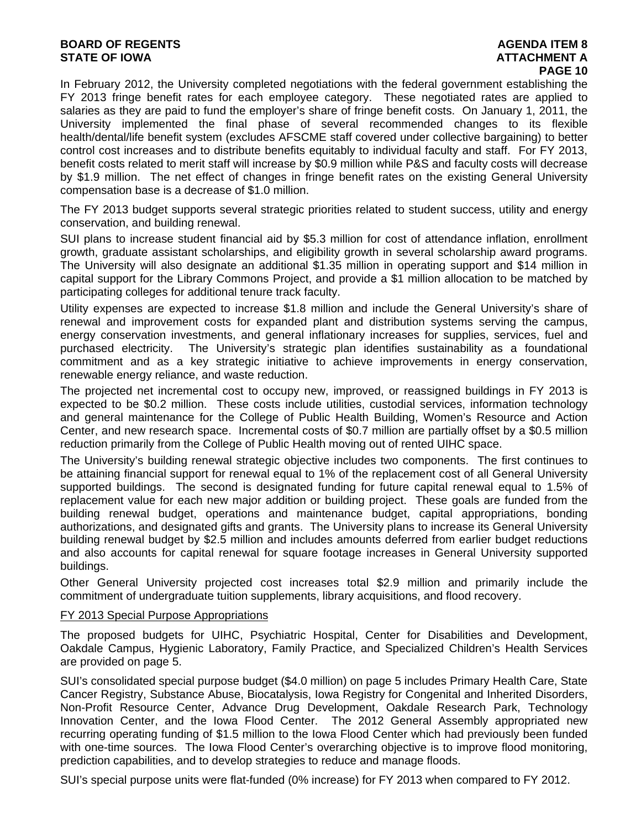#### **BOARD OF REGENTS AGENTS** AGENDA ITEM 8 **STATE OF IOWA AND RESERVE A LOCAL CONSUMING A LOCAL CONSUMING A LOCAL CONSUMING A LOCAL CONSUMING A LOCAL CONSUMING A LOCAL CONSUMING A LOCAL CONSUMING A LOCAL CONSUMING A LOCAL CONSUMING A LOCAL CONSUMING A LOCAL CONSUMI**

# **PAGE 10**

In February 2012, the University completed negotiations with the federal government establishing the FY 2013 fringe benefit rates for each employee category. These negotiated rates are applied to salaries as they are paid to fund the employer's share of fringe benefit costs. On January 1, 2011, the University implemented the final phase of several recommended changes to its flexible health/dental/life benefit system (excludes AFSCME staff covered under collective bargaining) to better control cost increases and to distribute benefits equitably to individual faculty and staff. For FY 2013, benefit costs related to merit staff will increase by \$0.9 million while P&S and faculty costs will decrease by \$1.9 million. The net effect of changes in fringe benefit rates on the existing General University compensation base is a decrease of \$1.0 million.

The FY 2013 budget supports several strategic priorities related to student success, utility and energy conservation, and building renewal.

SUI plans to increase student financial aid by \$5.3 million for cost of attendance inflation, enrollment growth, graduate assistant scholarships, and eligibility growth in several scholarship award programs. The University will also designate an additional \$1.35 million in operating support and \$14 million in capital support for the Library Commons Project, and provide a \$1 million allocation to be matched by participating colleges for additional tenure track faculty.

Utility expenses are expected to increase \$1.8 million and include the General University's share of renewal and improvement costs for expanded plant and distribution systems serving the campus, energy conservation investments, and general inflationary increases for supplies, services, fuel and purchased electricity. The University's strategic plan identifies sustainability as a foundational commitment and as a key strategic initiative to achieve improvements in energy conservation, renewable energy reliance, and waste reduction.

The projected net incremental cost to occupy new, improved, or reassigned buildings in FY 2013 is expected to be \$0.2 million. These costs include utilities, custodial services, information technology and general maintenance for the College of Public Health Building, Women's Resource and Action Center, and new research space. Incremental costs of \$0.7 million are partially offset by a \$0.5 million reduction primarily from the College of Public Health moving out of rented UIHC space.

The University's building renewal strategic objective includes two components. The first continues to be attaining financial support for renewal equal to 1% of the replacement cost of all General University supported buildings. The second is designated funding for future capital renewal equal to 1.5% of replacement value for each new major addition or building project. These goals are funded from the building renewal budget, operations and maintenance budget, capital appropriations, bonding authorizations, and designated gifts and grants. The University plans to increase its General University building renewal budget by \$2.5 million and includes amounts deferred from earlier budget reductions and also accounts for capital renewal for square footage increases in General University supported buildings.

Other General University projected cost increases total \$2.9 million and primarily include the commitment of undergraduate tuition supplements, library acquisitions, and flood recovery.

#### FY 2013 Special Purpose Appropriations

The proposed budgets for UIHC, Psychiatric Hospital, Center for Disabilities and Development, Oakdale Campus, Hygienic Laboratory, Family Practice, and Specialized Children's Health Services are provided on page 5.

SUI's consolidated special purpose budget (\$4.0 million) on page 5 includes Primary Health Care, State Cancer Registry, Substance Abuse, Biocatalysis, Iowa Registry for Congenital and Inherited Disorders, Non-Profit Resource Center, Advance Drug Development, Oakdale Research Park, Technology Innovation Center, and the Iowa Flood Center. The 2012 General Assembly appropriated new recurring operating funding of \$1.5 million to the Iowa Flood Center which had previously been funded with one-time sources. The Iowa Flood Center's overarching objective is to improve flood monitoring, prediction capabilities, and to develop strategies to reduce and manage floods.

SUI's special purpose units were flat-funded (0% increase) for FY 2013 when compared to FY 2012.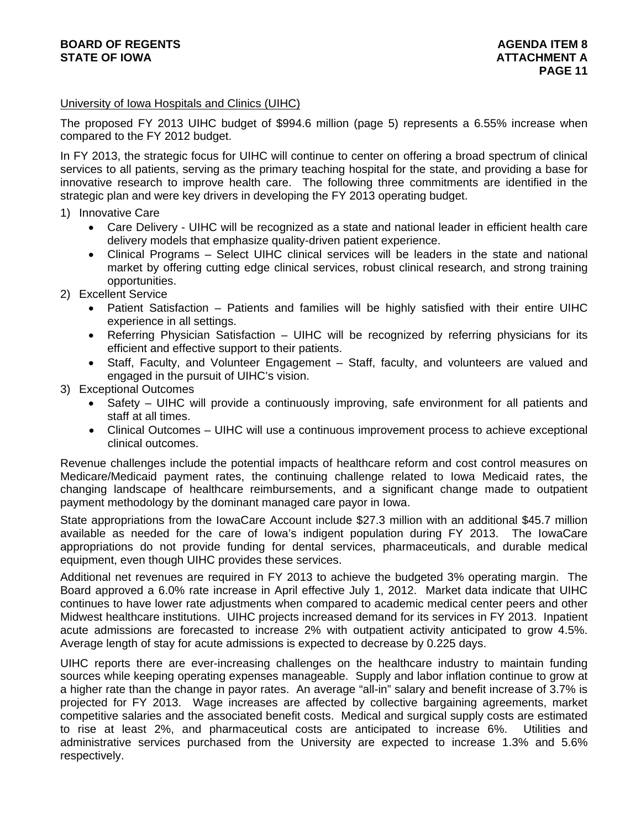#### University of Iowa Hospitals and Clinics (UIHC)

The proposed FY 2013 UIHC budget of \$994.6 million (page 5) represents a 6.55% increase when compared to the FY 2012 budget.

In FY 2013, the strategic focus for UIHC will continue to center on offering a broad spectrum of clinical services to all patients, serving as the primary teaching hospital for the state, and providing a base for innovative research to improve health care. The following three commitments are identified in the strategic plan and were key drivers in developing the FY 2013 operating budget.

- 1) Innovative Care
	- Care Delivery UIHC will be recognized as a state and national leader in efficient health care delivery models that emphasize quality-driven patient experience.
	- Clinical Programs Select UIHC clinical services will be leaders in the state and national market by offering cutting edge clinical services, robust clinical research, and strong training opportunities.
- 2) Excellent Service
	- Patient Satisfaction Patients and families will be highly satisfied with their entire UIHC experience in all settings.
	- Referring Physician Satisfaction UIHC will be recognized by referring physicians for its efficient and effective support to their patients.
	- Staff, Faculty, and Volunteer Engagement Staff, faculty, and volunteers are valued and engaged in the pursuit of UIHC's vision.
- 3) Exceptional Outcomes
	- Safety UIHC will provide a continuously improving, safe environment for all patients and staff at all times.
	- Clinical Outcomes UIHC will use a continuous improvement process to achieve exceptional clinical outcomes.

Revenue challenges include the potential impacts of healthcare reform and cost control measures on Medicare/Medicaid payment rates, the continuing challenge related to Iowa Medicaid rates, the changing landscape of healthcare reimbursements, and a significant change made to outpatient payment methodology by the dominant managed care payor in Iowa.

State appropriations from the IowaCare Account include \$27.3 million with an additional \$45.7 million available as needed for the care of Iowa's indigent population during FY 2013. The IowaCare appropriations do not provide funding for dental services, pharmaceuticals, and durable medical equipment, even though UIHC provides these services.

Additional net revenues are required in FY 2013 to achieve the budgeted 3% operating margin. The Board approved a 6.0% rate increase in April effective July 1, 2012. Market data indicate that UIHC continues to have lower rate adjustments when compared to academic medical center peers and other Midwest healthcare institutions. UIHC projects increased demand for its services in FY 2013. Inpatient acute admissions are forecasted to increase 2% with outpatient activity anticipated to grow 4.5%. Average length of stay for acute admissions is expected to decrease by 0.225 days.

UIHC reports there are ever-increasing challenges on the healthcare industry to maintain funding sources while keeping operating expenses manageable. Supply and labor inflation continue to grow at a higher rate than the change in payor rates. An average "all-in" salary and benefit increase of 3.7% is projected for FY 2013. Wage increases are affected by collective bargaining agreements, market competitive salaries and the associated benefit costs. Medical and surgical supply costs are estimated to rise at least 2%, and pharmaceutical costs are anticipated to increase 6%. Utilities and administrative services purchased from the University are expected to increase 1.3% and 5.6% respectively.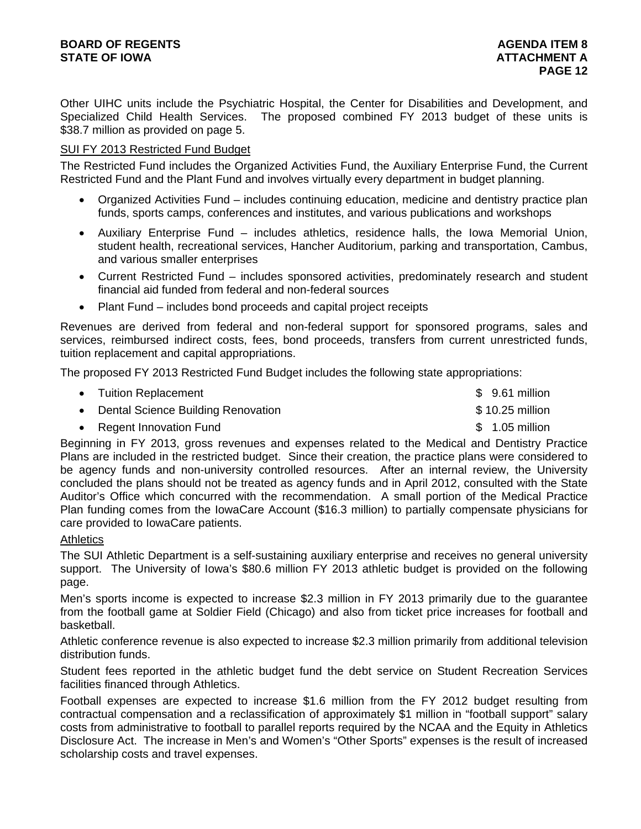Other UIHC units include the Psychiatric Hospital, the Center for Disabilities and Development, and Specialized Child Health Services. The proposed combined FY 2013 budget of these units is \$38.7 million as provided on page 5.

#### SUI FY 2013 Restricted Fund Budget

The Restricted Fund includes the Organized Activities Fund, the Auxiliary Enterprise Fund, the Current Restricted Fund and the Plant Fund and involves virtually every department in budget planning.

- Organized Activities Fund includes continuing education, medicine and dentistry practice plan funds, sports camps, conferences and institutes, and various publications and workshops
- Auxiliary Enterprise Fund includes athletics, residence halls, the Iowa Memorial Union, student health, recreational services, Hancher Auditorium, parking and transportation, Cambus, and various smaller enterprises
- Current Restricted Fund includes sponsored activities, predominately research and student financial aid funded from federal and non-federal sources
- Plant Fund includes bond proceeds and capital project receipts

Revenues are derived from federal and non-federal support for sponsored programs, sales and services, reimbursed indirect costs, fees, bond proceeds, transfers from current unrestricted funds, tuition replacement and capital appropriations.

The proposed FY 2013 Restricted Fund Budget includes the following state appropriations:

| • Tuition Replacement                | $$9.61$ million |
|--------------------------------------|-----------------|
| • Dental Science Building Renovation | \$10.25 million |
| • Regent Innovation Fund             | $$1.05$ million |

Beginning in FY 2013, gross revenues and expenses related to the Medical and Dentistry Practice Plans are included in the restricted budget. Since their creation, the practice plans were considered to be agency funds and non-university controlled resources. After an internal review, the University concluded the plans should not be treated as agency funds and in April 2012, consulted with the State Auditor's Office which concurred with the recommendation. A small portion of the Medical Practice Plan funding comes from the IowaCare Account (\$16.3 million) to partially compensate physicians for care provided to IowaCare patients.

#### **Athletics**

The SUI Athletic Department is a self-sustaining auxiliary enterprise and receives no general university support. The University of Iowa's \$80.6 million FY 2013 athletic budget is provided on the following page.

Men's sports income is expected to increase \$2.3 million in FY 2013 primarily due to the guarantee from the football game at Soldier Field (Chicago) and also from ticket price increases for football and basketball.

Athletic conference revenue is also expected to increase \$2.3 million primarily from additional television distribution funds.

Student fees reported in the athletic budget fund the debt service on Student Recreation Services facilities financed through Athletics.

Football expenses are expected to increase \$1.6 million from the FY 2012 budget resulting from contractual compensation and a reclassification of approximately \$1 million in "football support" salary costs from administrative to football to parallel reports required by the NCAA and the Equity in Athletics Disclosure Act. The increase in Men's and Women's "Other Sports" expenses is the result of increased scholarship costs and travel expenses.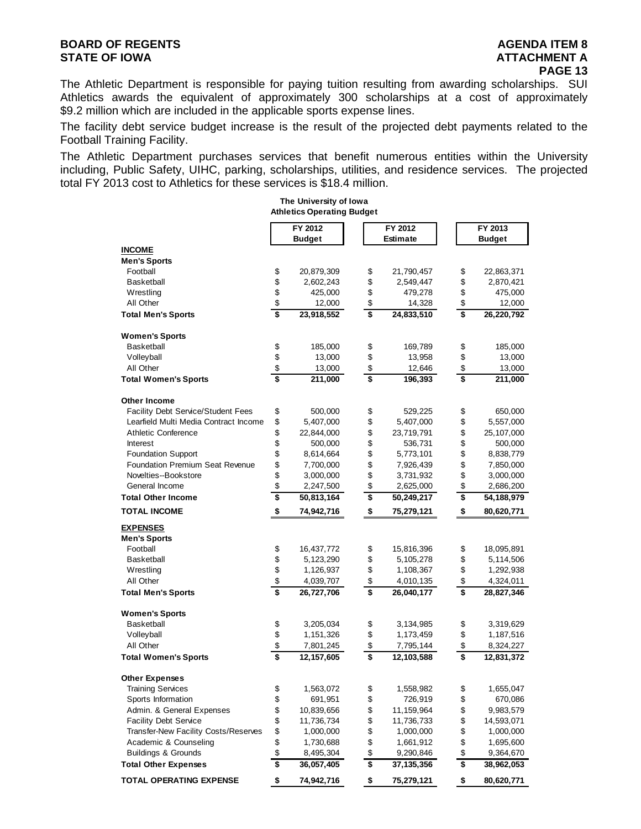The Athletic Department is responsible for paying tuition resulting from awarding scholarships. SUI Athletics awards the equivalent of approximately 300 scholarships at a cost of approximately \$9.2 million which are included in the applicable sports expense lines.

The facility debt service budget increase is the result of the projected debt payments related to the Football Training Facility.

The Athletic Department purchases services that benefit numerous entities within the University including, Public Safety, UIHC, parking, scholarships, utilities, and residence services. The projected total FY 2013 cost to Athletics for these services is \$18.4 million.

|                                                                             |                                      | The University of Iowa<br><b>Athletics Operating Budget</b> |          |                            |          |                          |
|-----------------------------------------------------------------------------|--------------------------------------|-------------------------------------------------------------|----------|----------------------------|----------|--------------------------|
|                                                                             |                                      | FY 2012<br><b>Budget</b>                                    |          | FY 2012<br><b>Estimate</b> |          | FY 2013<br><b>Budget</b> |
| <b>INCOME</b>                                                               |                                      |                                                             |          |                            |          |                          |
| <b>Men's Sports</b>                                                         |                                      |                                                             |          |                            |          |                          |
| Football                                                                    | \$                                   | 20,879,309                                                  | \$       | 21,790,457                 | \$       | 22,863,371               |
| <b>Basketball</b>                                                           | \$                                   | 2,602,243                                                   | \$       | 2,549,447                  | \$       | 2,870,421                |
| Wrestling                                                                   | \$                                   | 425,000                                                     | \$       | 479,278                    | \$       | 475,000                  |
| All Other                                                                   | \$                                   | 12,000                                                      | \$       | 14,328                     | \$       | 12,000                   |
| <b>Total Men's Sports</b>                                                   | \$                                   | 23,918,552                                                  | \$       | 24,833,510                 | \$       | 26,220,792               |
| <b>Women's Sports</b>                                                       |                                      |                                                             |          |                            |          |                          |
| <b>Basketball</b>                                                           | \$                                   | 185,000                                                     | \$       | 169,789                    | \$       | 185,000                  |
| Volleyball                                                                  | \$                                   | 13,000                                                      | \$       | 13,958                     | \$       | 13,000                   |
| All Other                                                                   | \$                                   | 13,000                                                      | \$       | 12,646                     | \$       | 13,000                   |
| <b>Total Women's Sports</b>                                                 | \$                                   | 211,000                                                     | \$       | 196,393                    | \$       | 211,000                  |
| Other Income                                                                |                                      |                                                             |          |                            |          |                          |
| Facility Debt Service/Student Fees                                          | \$                                   | 500,000                                                     | \$       | 529,225                    | \$       | 650,000                  |
| Learfield Multi Media Contract Income                                       | \$                                   | 5,407,000                                                   | \$       | 5,407,000                  | \$       | 5,557,000                |
| <b>Athletic Conference</b>                                                  | \$                                   | 22,844,000                                                  | \$       | 23,719,791                 | \$       | 25,107,000               |
| Interest                                                                    | \$                                   | 500,000                                                     | \$       | 536,731                    | \$       | 500,000                  |
| <b>Foundation Support</b>                                                   | \$                                   | 8,614,664                                                   | \$       | 5,773,101                  | \$       | 8,838,779                |
| <b>Foundation Premium Seat Revenue</b>                                      | \$                                   | 7,700,000                                                   | \$       | 7,926,439                  | \$       | 7,850,000                |
| Novelties--Bookstore                                                        | \$                                   | 3,000,000                                                   | \$       | 3,731,932                  | \$       | 3,000,000                |
| General Income                                                              | \$                                   | 2,247,500                                                   | \$       | 2,625,000                  | \$       | 2,686,200                |
| <b>Total Other Income</b>                                                   | \$                                   | 50,813,164                                                  | \$       | 50,249,217                 | \$       | 54, 188, 979             |
| <b>TOTAL INCOME</b>                                                         | \$                                   | 74,942,716                                                  | \$       | 75,279,121                 | \$       | 80,620,771               |
| <b>EXPENSES</b>                                                             |                                      |                                                             |          |                            |          |                          |
| <b>Men's Sports</b>                                                         |                                      |                                                             |          |                            |          |                          |
| Football                                                                    | \$                                   | 16,437,772                                                  | \$       | 15,816,396                 | \$       | 18,095,891               |
| <b>Basketball</b>                                                           | \$                                   | 5,123,290                                                   | \$       | 5,105,278                  | \$       | 5,114,506                |
| Wrestling                                                                   | \$                                   | 1,126,937                                                   | \$       | 1,108,367                  | \$       | 1,292,938                |
| All Other<br><b>Total Men's Sports</b>                                      | \$<br>\$                             | 4,039,707<br>26,727,706                                     | \$<br>\$ | 4,010,135<br>26,040,177    | \$<br>\$ | 4,324,011<br>28,827,346  |
|                                                                             |                                      |                                                             |          |                            |          |                          |
| <b>Women's Sports</b>                                                       |                                      |                                                             |          |                            |          |                          |
| <b>Basketball</b>                                                           | \$                                   | 3,205,034                                                   | \$       | 3,134,985                  | \$       | 3,319,629                |
| Volleyball                                                                  | \$                                   | 1,151,326                                                   | \$       | 1,173,459                  | \$       | 1,187,516                |
| All Other<br><b>Total Women's Sports</b>                                    | \$<br>\$                             | 7,801,245<br>12, 157, 605                                   | \$<br>\$ | 7,795,144<br>12,103,588    | \$<br>\$ | 8,324,227<br>12,831,372  |
|                                                                             |                                      |                                                             |          |                            |          |                          |
| <b>Other Expenses</b>                                                       |                                      |                                                             |          |                            |          |                          |
| <b>Training Services</b>                                                    | \$                                   | 1,563,072                                                   | \$       | 1,558,982                  | \$       | 1,655,047                |
| Sports Information<br>Admin. & General Expenses                             | \$                                   | 691,951                                                     | \$       | 726,919                    | \$       | 670,086                  |
|                                                                             | \$                                   | 10,839,656                                                  | \$       | 11,159,964                 | \$       | 9,983,579                |
| <b>Facility Debt Service</b><br><b>Transfer-New Facility Costs/Reserves</b> | \$                                   | 11,736,734                                                  | \$       | 11,736,733                 | \$       | 14,593,071               |
|                                                                             | \$                                   | 1,000,000                                                   | \$       | 1,000,000                  | \$       | 1,000,000                |
| Academic & Counseling<br><b>Buildings &amp; Grounds</b>                     | \$<br>\$                             | 1,730,688                                                   | \$<br>\$ | 1,661,912                  | \$       | 1,695,600                |
| <b>Total Other Expenses</b>                                                 | $\overline{\boldsymbol{\mathsf{s}}}$ | 8,495,304<br>36,057,405                                     | \$       | 9,290,846<br>37, 135, 356  | \$<br>\$ | 9,364,670<br>38,962,053  |
| <b>TOTAL OPERATING EXPENSE</b>                                              | \$                                   | 74,942,716                                                  | \$       | 75,279,121                 | \$       | 80,620,771               |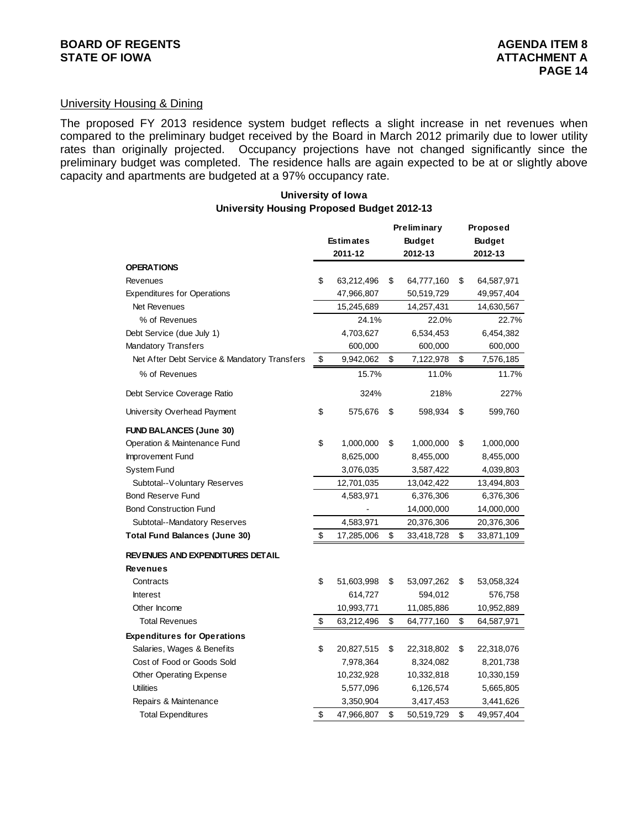#### University Housing & Dining

The proposed FY 2013 residence system budget reflects a slight increase in net revenues when compared to the preliminary budget received by the Board in March 2012 primarily due to lower utility rates than originally projected. Occupancy projections have not changed significantly since the preliminary budget was completed. The residence halls are again expected to be at or slightly above capacity and apartments are budgeted at a 97% occupancy rate.

#### **University of Iowa University Housing Proposed Budget 2012-13**

|                                              |                  | Preliminary      | Proposed         |
|----------------------------------------------|------------------|------------------|------------------|
|                                              | <b>Estimates</b> | <b>Budget</b>    | <b>Budget</b>    |
|                                              | 2011-12          | 2012-13          | 2012-13          |
| <b>OPERATIONS</b>                            |                  |                  |                  |
| Revenues                                     | \$<br>63,212,496 | \$<br>64,777,160 | \$<br>64,587,971 |
| <b>Expenditures for Operations</b>           | 47,966,807       | 50,519,729       | 49,957,404       |
| Net Revenues                                 | 15,245,689       | 14,257,431       | 14,630,567       |
| % of Revenues                                | 24.1%            | 22.0%            | 22.7%            |
| Debt Service (due July 1)                    | 4,703,627        | 6,534,453        | 6,454,382        |
| <b>Mandatory Transfers</b>                   | 600,000          | 600,000          | 600,000          |
| Net After Debt Service & Mandatory Transfers | \$<br>9,942,062  | \$<br>7,122,978  | \$<br>7,576,185  |
| % of Revenues                                | 15.7%            | 11.0%            | 11.7%            |
| Debt Service Coverage Ratio                  | 324%             | 218%             | 227%             |
| University Overhead Payment                  | \$<br>575,676    | \$<br>598,934    | \$<br>599,760    |
| <b>FUND BALANCES (June 30)</b>               |                  |                  |                  |
| Operation & Maintenance Fund                 | \$<br>1,000,000  | \$<br>1,000,000  | \$<br>1,000,000  |
| Improvement Fund                             | 8,625,000        | 8,455,000        | 8,455,000        |
| System Fund                                  | 3,076,035        | 3,587,422        | 4,039,803        |
| Subtotal--Voluntary Reserves                 | 12,701,035       | 13,042,422       | 13,494,803       |
| <b>Bond Reserve Fund</b>                     | 4,583,971        | 6,376,306        | 6,376,306        |
| <b>Bond Construction Fund</b>                |                  | 14,000,000       | 14,000,000       |
| Subtotal--Mandatory Reserves                 | 4,583,971        | 20,376,306       | 20,376,306       |
| <b>Total Fund Balances (June 30)</b>         | \$<br>17,285,006 | \$<br>33,418,728 | \$<br>33,871,109 |
| <b>REVENUES AND EXPENDITURES DETAIL</b>      |                  |                  |                  |
| <b>Revenues</b>                              |                  |                  |                  |
| Contracts                                    | \$<br>51,603,998 | \$<br>53,097,262 | \$<br>53,058,324 |
| <b>Interest</b>                              | 614,727          | 594,012          | 576,758          |
| Other Income                                 | 10,993,771       | 11,085,886       | 10,952,889       |
| <b>Total Revenues</b>                        | \$<br>63,212,496 | \$<br>64,777,160 | \$<br>64,587,971 |
| <b>Expenditures for Operations</b>           |                  |                  |                  |
| Salaries, Wages & Benefits                   | \$<br>20,827,515 | \$<br>22,318,802 | \$<br>22,318,076 |
| Cost of Food or Goods Sold                   | 7,978,364        | 8,324,082        | 8,201,738        |
| Other Operating Expense                      | 10,232,928       | 10,332,818       | 10,330,159       |
| <b>Utilities</b>                             | 5,577,096        | 6,126,574        | 5,665,805        |
| Repairs & Maintenance                        | 3,350,904        | 3,417,453        | 3,441,626        |
| <b>Total Expenditures</b>                    | \$<br>47,966,807 | \$<br>50,519,729 | \$<br>49,957,404 |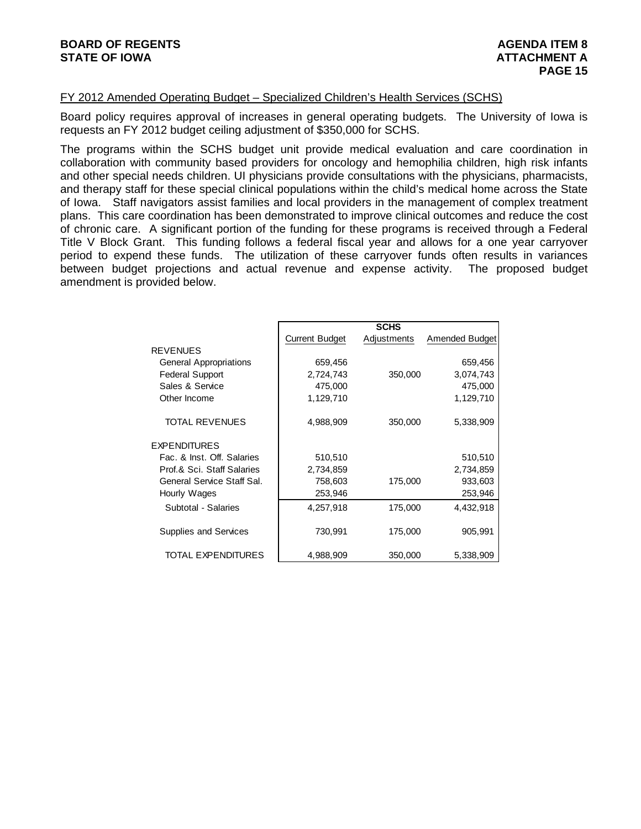#### FY 2012 Amended Operating Budget – Specialized Children's Health Services (SCHS)

Board policy requires approval of increases in general operating budgets. The University of Iowa is requests an FY 2012 budget ceiling adjustment of \$350,000 for SCHS.

The programs within the SCHS budget unit provide medical evaluation and care coordination in collaboration with community based providers for oncology and hemophilia children, high risk infants and other special needs children. UI physicians provide consultations with the physicians, pharmacists, and therapy staff for these special clinical populations within the child's medical home across the State of Iowa. Staff navigators assist families and local providers in the management of complex treatment plans. This care coordination has been demonstrated to improve clinical outcomes and reduce the cost of chronic care. A significant portion of the funding for these programs is received through a Federal Title V Block Grant. This funding follows a federal fiscal year and allows for a one year carryover period to expend these funds. The utilization of these carryover funds often results in variances between budget projections and actual revenue and expense activity. The proposed budget amendment is provided below.

|                            |                       | <b>SCHS</b> |                       |
|----------------------------|-----------------------|-------------|-----------------------|
|                            | <b>Current Budget</b> | Adjustments | <b>Amended Budget</b> |
| <b>REVENUES</b>            |                       |             |                       |
| General Appropriations     | 659,456               |             | 659,456               |
| <b>Federal Support</b>     | 2,724,743             | 350,000     | 3,074,743             |
| Sales & Service            | 475,000               |             | 475,000               |
| Other Income               | 1,129,710             |             | 1,129,710             |
| <b>TOTAL REVENUES</b>      | 4,988,909             | 350,000     | 5,338,909             |
| <b>EXPENDITURES</b>        |                       |             |                       |
| Fac. & Inst. Off. Salaries | 510,510               |             | 510,510               |
| Prof.& Sci. Staff Salaries | 2,734,859             |             | 2,734,859             |
| General Service Staff Sal. | 758,603               | 175,000     | 933,603               |
| Hourly Wages               | 253,946               |             | 253,946               |
| Subtotal - Salaries        | 4,257,918             | 175,000     | 4,432,918             |
| Supplies and Services      | 730,991               | 175,000     | 905,991               |
| TOTAL EXPENDITURES         | 4,988,909             | 350,000     | 5,338,909             |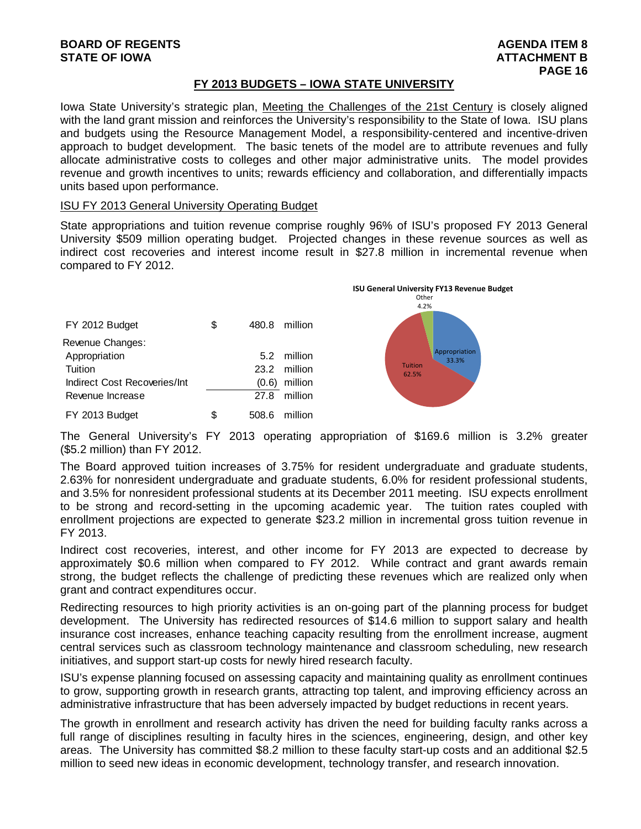#### **FY 2013 BUDGETS – IOWA STATE UNIVERSITY**

Iowa State University's strategic plan, Meeting the Challenges of the 21st Century is closely aligned with the land grant mission and reinforces the University's responsibility to the State of Iowa. ISU plans and budgets using the Resource Management Model, a responsibility-centered and incentive-driven approach to budget development. The basic tenets of the model are to attribute revenues and fully allocate administrative costs to colleges and other major administrative units. The model provides revenue and growth incentives to units; rewards efficiency and collaboration, and differentially impacts units based upon performance.

#### ISU FY 2013 General University Operating Budget

State appropriations and tuition revenue comprise roughly 96% of ISU's proposed FY 2013 General University \$509 million operating budget. Projected changes in these revenue sources as well as indirect cost recoveries and interest income result in \$27.8 million in incremental revenue when compared to FY 2012.

| FY 2012 Budget               | \$ | 480.8 | million      |
|------------------------------|----|-------|--------------|
| Revenue Changes:             |    |       |              |
| Appropriation                |    |       | 5.2 million  |
| Tuition                      |    |       | 23.2 million |
| Indirect Cost Recoveries/Int |    | (0.6) | million      |
| Revenue Increase             |    |       | 27.8 million |
| FY 2013 Budget               | S  | 508.6 | million      |



The General University's FY 2013 operating appropriation of \$169.6 million is 3.2% greater (\$5.2 million) than FY 2012.

The Board approved tuition increases of 3.75% for resident undergraduate and graduate students, 2.63% for nonresident undergraduate and graduate students, 6.0% for resident professional students, and 3.5% for nonresident professional students at its December 2011 meeting. ISU expects enrollment to be strong and record-setting in the upcoming academic year. The tuition rates coupled with enrollment projections are expected to generate \$23.2 million in incremental gross tuition revenue in FY 2013.

Indirect cost recoveries, interest, and other income for FY 2013 are expected to decrease by approximately \$0.6 million when compared to FY 2012. While contract and grant awards remain strong, the budget reflects the challenge of predicting these revenues which are realized only when grant and contract expenditures occur.

Redirecting resources to high priority activities is an on-going part of the planning process for budget development. The University has redirected resources of \$14.6 million to support salary and health insurance cost increases, enhance teaching capacity resulting from the enrollment increase, augment central services such as classroom technology maintenance and classroom scheduling, new research initiatives, and support start-up costs for newly hired research faculty.

ISU's expense planning focused on assessing capacity and maintaining quality as enrollment continues to grow, supporting growth in research grants, attracting top talent, and improving efficiency across an administrative infrastructure that has been adversely impacted by budget reductions in recent years.

The growth in enrollment and research activity has driven the need for building faculty ranks across a full range of disciplines resulting in faculty hires in the sciences, engineering, design, and other key areas. The University has committed \$8.2 million to these faculty start-up costs and an additional \$2.5 million to seed new ideas in economic development, technology transfer, and research innovation.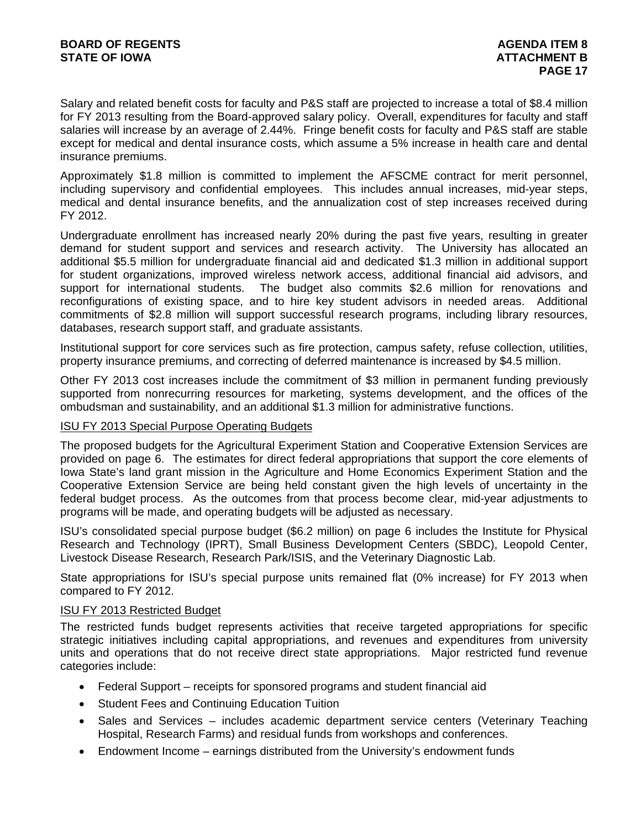Salary and related benefit costs for faculty and P&S staff are projected to increase a total of \$8.4 million for FY 2013 resulting from the Board-approved salary policy. Overall, expenditures for faculty and staff salaries will increase by an average of 2.44%. Fringe benefit costs for faculty and P&S staff are stable except for medical and dental insurance costs, which assume a 5% increase in health care and dental insurance premiums.

Approximately \$1.8 million is committed to implement the AFSCME contract for merit personnel, including supervisory and confidential employees. This includes annual increases, mid-year steps, medical and dental insurance benefits, and the annualization cost of step increases received during FY 2012.

Undergraduate enrollment has increased nearly 20% during the past five years, resulting in greater demand for student support and services and research activity. The University has allocated an additional \$5.5 million for undergraduate financial aid and dedicated \$1.3 million in additional support for student organizations, improved wireless network access, additional financial aid advisors, and support for international students. The budget also commits \$2.6 million for renovations and reconfigurations of existing space, and to hire key student advisors in needed areas. Additional commitments of \$2.8 million will support successful research programs, including library resources, databases, research support staff, and graduate assistants.

Institutional support for core services such as fire protection, campus safety, refuse collection, utilities, property insurance premiums, and correcting of deferred maintenance is increased by \$4.5 million.

Other FY 2013 cost increases include the commitment of \$3 million in permanent funding previously supported from nonrecurring resources for marketing, systems development, and the offices of the ombudsman and sustainability, and an additional \$1.3 million for administrative functions.

#### ISU FY 2013 Special Purpose Operating Budgets

The proposed budgets for the Agricultural Experiment Station and Cooperative Extension Services are provided on page 6. The estimates for direct federal appropriations that support the core elements of Iowa State's land grant mission in the Agriculture and Home Economics Experiment Station and the Cooperative Extension Service are being held constant given the high levels of uncertainty in the federal budget process. As the outcomes from that process become clear, mid-year adjustments to programs will be made, and operating budgets will be adjusted as necessary.

ISU's consolidated special purpose budget (\$6.2 million) on page 6 includes the Institute for Physical Research and Technology (IPRT), Small Business Development Centers (SBDC), Leopold Center, Livestock Disease Research, Research Park/ISIS, and the Veterinary Diagnostic Lab.

State appropriations for ISU's special purpose units remained flat (0% increase) for FY 2013 when compared to FY 2012.

#### ISU FY 2013 Restricted Budget

The restricted funds budget represents activities that receive targeted appropriations for specific strategic initiatives including capital appropriations, and revenues and expenditures from university units and operations that do not receive direct state appropriations. Major restricted fund revenue categories include:

- Federal Support receipts for sponsored programs and student financial aid
- Student Fees and Continuing Education Tuition
- Sales and Services includes academic department service centers (Veterinary Teaching Hospital, Research Farms) and residual funds from workshops and conferences.
- Endowment Income earnings distributed from the University's endowment funds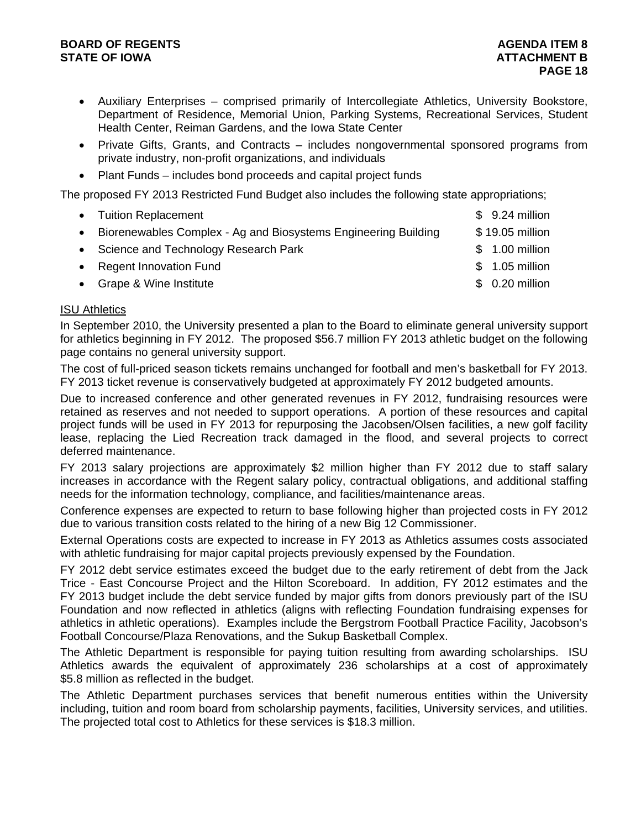#### **BOARD OF REGENTS AGENTS** AGENDA ITEM 8 **STATE OF IOWA** AND **ATTACHMENT B**

- Auxiliary Enterprises comprised primarily of Intercollegiate Athletics, University Bookstore, Department of Residence, Memorial Union, Parking Systems, Recreational Services, Student Health Center, Reiman Gardens, and the Iowa State Center
- Private Gifts, Grants, and Contracts includes nongovernmental sponsored programs from private industry, non-profit organizations, and individuals
- Plant Funds includes bond proceeds and capital project funds

The proposed FY 2013 Restricted Fund Budget also includes the following state appropriations;

|           | • Tuition Replacement                                          | $$9.24$ million |
|-----------|----------------------------------------------------------------|-----------------|
| $\bullet$ | Biorenewables Complex - Ag and Biosystems Engineering Building | \$19.05 million |
|           | • Science and Technology Research Park                         | $$1.00$ million |
|           | • Regent Innovation Fund                                       | $$1.05$ million |
|           | • Grape & Wine Institute                                       | $$0.20$ million |
|           |                                                                |                 |

#### ISU Athletics

In September 2010, the University presented a plan to the Board to eliminate general university support for athletics beginning in FY 2012. The proposed \$56.7 million FY 2013 athletic budget on the following page contains no general university support.

The cost of full-priced season tickets remains unchanged for football and men's basketball for FY 2013. FY 2013 ticket revenue is conservatively budgeted at approximately FY 2012 budgeted amounts.

Due to increased conference and other generated revenues in FY 2012, fundraising resources were retained as reserves and not needed to support operations. A portion of these resources and capital project funds will be used in FY 2013 for repurposing the Jacobsen/Olsen facilities, a new golf facility lease, replacing the Lied Recreation track damaged in the flood, and several projects to correct deferred maintenance.

FY 2013 salary projections are approximately \$2 million higher than FY 2012 due to staff salary increases in accordance with the Regent salary policy, contractual obligations, and additional staffing needs for the information technology, compliance, and facilities/maintenance areas.

Conference expenses are expected to return to base following higher than projected costs in FY 2012 due to various transition costs related to the hiring of a new Big 12 Commissioner.

External Operations costs are expected to increase in FY 2013 as Athletics assumes costs associated with athletic fundraising for major capital projects previously expensed by the Foundation.

FY 2012 debt service estimates exceed the budget due to the early retirement of debt from the Jack Trice - East Concourse Project and the Hilton Scoreboard. In addition, FY 2012 estimates and the FY 2013 budget include the debt service funded by major gifts from donors previously part of the ISU Foundation and now reflected in athletics (aligns with reflecting Foundation fundraising expenses for athletics in athletic operations). Examples include the Bergstrom Football Practice Facility, Jacobson's Football Concourse/Plaza Renovations, and the Sukup Basketball Complex.

The Athletic Department is responsible for paying tuition resulting from awarding scholarships. ISU Athletics awards the equivalent of approximately 236 scholarships at a cost of approximately \$5.8 million as reflected in the budget.

The Athletic Department purchases services that benefit numerous entities within the University including, tuition and room board from scholarship payments, facilities, University services, and utilities. The projected total cost to Athletics for these services is \$18.3 million.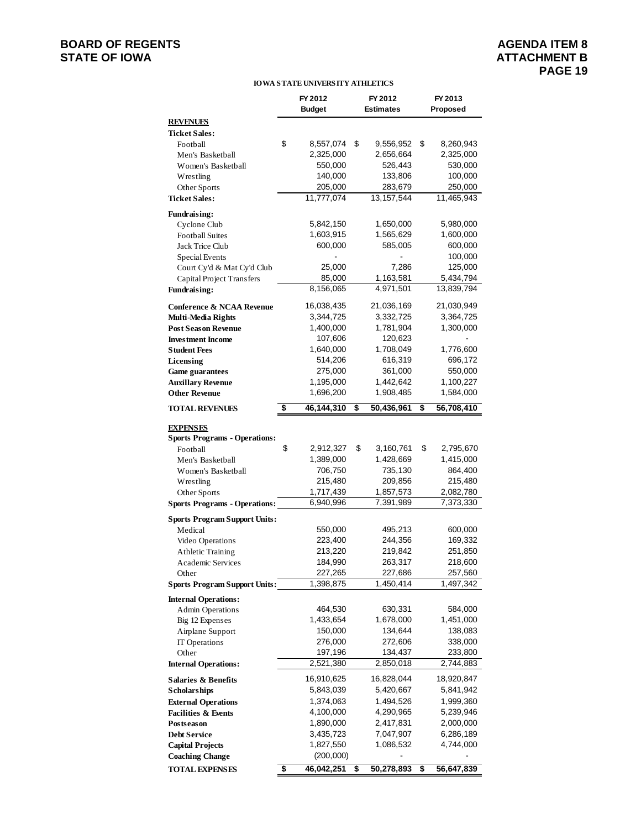## **BOARD OF REGENTS**<br> **BOARD OF REGENTS**<br> **STATE OF IOWA**<br> **BOARD OF REGENTS**

#### **IOWA STATE UNIVERSITY ATHLETICS**

|                                                | FY 2012<br><b>Budget</b> | FY 2012<br><b>Estimates</b> | FY 2013<br>Proposed               |
|------------------------------------------------|--------------------------|-----------------------------|-----------------------------------|
| <b>REVENUES</b>                                |                          |                             |                                   |
| <b>Ticket Sales:</b>                           |                          |                             |                                   |
| Football                                       | \$<br>8,557,074          | \$<br>9,556,952             | \$<br>8,260,943                   |
| Men's Basketball                               | 2,325,000                | 2,656,664                   | 2,325,000                         |
| Women's Basketball                             | 550,000                  | 526,443                     | 530,000                           |
| Wrestling                                      | 140,000                  | 133,806                     | 100,000                           |
| Other Sports                                   | 205,000                  | 283,679                     | 250,000                           |
| <b>Ticket Sales:</b>                           | 11,777,074               | 13, 157, 544                | 11,465,943                        |
| <b>Fundraising:</b>                            |                          |                             |                                   |
| Cyclone Club                                   | 5,842,150                | 1,650,000                   | 5,980,000                         |
| <b>Football Suites</b>                         | 1,603,915                | 1,565,629                   | 1,600,000                         |
| Jack Trice Club                                | 600,000                  | 585,005                     | 600,000                           |
| Special Events                                 |                          |                             | 100,000                           |
| Court Cy'd & Mat Cy'd Club                     | 25,000                   | 7,286                       | 125,000                           |
| Capital Project Transfers                      | 85,000                   | 1,163,581                   | 5,434,794                         |
| <b>Fundraising:</b>                            | 8,156,065                | 4,971,501                   | 13,839,794                        |
| Conference & NCAA Revenue                      | 16,038,435               | 21,036,169                  | 21,030,949                        |
| Multi-Media Rights                             | 3,344,725                | 3,332,725                   | 3,364,725                         |
| <b>Post Season Revenue</b>                     | 1,400,000                | 1,781,904                   | 1,300,000                         |
| <b>Investment Income</b>                       | 107,606                  | 120,623                     |                                   |
| <b>Student Fees</b>                            | 1,640,000                | 1,708,049                   | 1,776,600                         |
| Licensing                                      | 514,206                  | 616,319                     | 696,172                           |
| <b>Game guarantees</b>                         | 275,000                  | 361,000                     | 550,000                           |
| <b>Auxillary Revenue</b>                       | 1,195,000                | 1,442,642                   | 1,100,227                         |
| <b>Other Revenue</b>                           | 1,696,200                | 1,908,485                   | 1,584,000                         |
| <b>TOTAL REVENUES</b>                          | \$<br>46,144,310         | \$<br>50,436,961            | \$<br>56,708,410                  |
| <b>EXPENSES</b>                                |                          |                             |                                   |
| <b>Sports Programs - Operations:</b>           |                          |                             |                                   |
| Football                                       | \$<br>2,912,327          | \$<br>3,160,761             | \$<br>2,795,670                   |
| Men's Basketball                               | 1,389,000                | 1,428,669                   | 1,415,000                         |
| Women's Basketball                             | 706,750                  | 735,130                     | 864,400                           |
| Wrestling                                      | 215,480                  | 209,856                     | 215,480                           |
| Other Sports                                   | 1,717,439                | 1,857,573                   | 2,082,780                         |
| <b>Sports Programs - Operations:</b>           | 6,940,996                | 7,391,989                   | 7,373,330                         |
| <b>Sports Program Support Units:</b>           |                          |                             |                                   |
| Medical                                        | 550,000                  | 495,213                     | 600,000                           |
| Video Operations                               | 223,400                  | 244,356                     | 169,332                           |
| <b>Athletic Training</b>                       | 213,220                  | 219,842                     | 251,850                           |
| Academic Services                              | 184,990                  | 263,317                     | 218,600                           |
| Other                                          | 227,265                  | 227,686                     | 257,560<br>$\overline{1,}497,342$ |
| <b>Sports Program Support Units:</b>           | 1,398,875                | 1,450,414                   |                                   |
| <b>Internal Operations:</b>                    |                          |                             |                                   |
| <b>Admin Operations</b>                        | 464,530                  | 630,331                     | 584,000                           |
| Big 12 Expenses<br>Airplane Support            | 1,433,654<br>150,000     | 1,678,000<br>134,644        | 1,451,000<br>138,083              |
| IT Operations                                  | 276,000                  | 272,606                     | 338,000                           |
| Other                                          | 197,196                  | 134,437                     | 233,800                           |
| <b>Internal Operations:</b>                    | 2,521,380                | 2,850,018                   | 2,744,883                         |
|                                                |                          |                             |                                   |
| <b>Salaries &amp; Benefits</b><br>Scholarships | 16,910,625<br>5,843,039  | 16,828,044<br>5,420,667     | 18,920,847<br>5,841,942           |
| <b>External Operations</b>                     | 1,374,063                | 1,494,526                   | 1,999,360                         |
| <b>Facilities &amp; Events</b>                 | 4,100,000                | 4,290,965                   | 5,239,946                         |
| Postseason                                     | 1,890,000                | 2,417,831                   | 2,000,000                         |
| <b>Debt Service</b>                            | 3,435,723                | 7,047,907                   | 6,286,189                         |
| <b>Capital Projects</b>                        | 1,827,550                | 1,086,532                   | 4,744,000                         |
| <b>Coaching Change</b>                         | (200,000)                |                             |                                   |
| <b>TOTAL EXPENSES</b>                          | \$<br>46,042,251         | \$<br>50,278,893            | \$<br>56,647,839                  |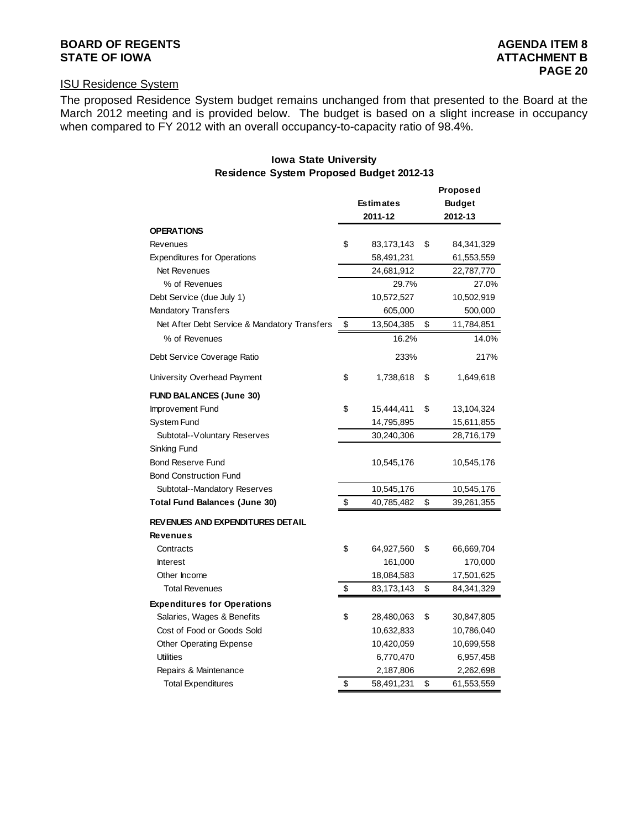## **BOARD OF REGENTS AGENERY AGENER AGENERAL PROPERTY AGENERAL PROPERTY AGENERAL PROPERTY AGENERAL PROPERTY AGENERAL PROPERTY AGENERAL PROPERTY AGENERAL PROPERTY AGENERAL PROPERTY AGENERAL PROPERTY AGENERAL PROPERTY AGENERA**

#### ISU Residence System

The proposed Residence System budget remains unchanged from that presented to the Board at the March 2012 meeting and is provided below. The budget is based on a slight increase in occupancy when compared to FY 2012 with an overall occupancy-to-capacity ratio of 98.4%.

#### **Iowa State University Residence System Proposed Budget 2012-13**

|                                              |                  | Proposed         |
|----------------------------------------------|------------------|------------------|
|                                              | <b>Estimates</b> | <b>Budget</b>    |
|                                              | 2011-12          | 2012-13          |
| <b>OPERATIONS</b>                            |                  |                  |
| Revenues                                     | \$<br>83,173,143 | \$<br>84,341,329 |
| <b>Expenditures for Operations</b>           | 58,491,231       | 61,553,559       |
| Net Revenues                                 | 24,681,912       | 22,787,770       |
| % of Revenues                                | 29.7%            | 27.0%            |
| Debt Service (due July 1)                    | 10,572,527       | 10,502,919       |
| <b>Mandatory Transfers</b>                   | 605,000          | 500,000          |
| Net After Debt Service & Mandatory Transfers | \$<br>13,504,385 | \$<br>11,784,851 |
| % of Revenues                                | 16.2%            | 14.0%            |
| Debt Service Coverage Ratio                  | 233%             | 217%             |
| University Overhead Payment                  | \$<br>1,738,618  | \$<br>1,649,618  |
| <b>FUND BALANCES (June 30)</b>               |                  |                  |
| Improvement Fund                             | \$<br>15,444,411 | \$<br>13,104,324 |
| System Fund                                  | 14,795,895       | 15,611,855       |
| Subtotal--Voluntary Reserves                 | 30,240,306       | 28,716,179       |
| Sinking Fund                                 |                  |                  |
| <b>Bond Reserve Fund</b>                     | 10,545,176       | 10,545,176       |
| <b>Bond Construction Fund</b>                |                  |                  |
| Subtotal--Mandatory Reserves                 | 10,545,176       | 10,545,176       |
| <b>Total Fund Balances (June 30)</b>         | \$<br>40,785,482 | \$<br>39,261,355 |
| REVENUES AND EXPENDITURES DETAIL             |                  |                  |
| <b>Revenues</b>                              |                  |                  |
| Contracts                                    | \$<br>64,927,560 | \$<br>66,669,704 |
| <b>Interest</b>                              | 161,000          | 170,000          |
| Other Income                                 | 18,084,583       | 17,501,625       |
| <b>Total Revenues</b>                        | \$<br>83,173,143 | \$<br>84,341,329 |
| <b>Expenditures for Operations</b>           |                  |                  |
| Salaries, Wages & Benefits                   | \$<br>28,480,063 | \$<br>30,847,805 |
| Cost of Food or Goods Sold                   | 10,632,833       | 10,786,040       |
| Other Operating Expense                      | 10,420,059       | 10,699,558       |
| <b>Utilities</b>                             | 6,770,470        | 6,957,458        |
| Repairs & Maintenance                        | 2,187,806        | 2,262,698        |
| <b>Total Expenditures</b>                    | \$<br>58,491,231 | \$<br>61,553,559 |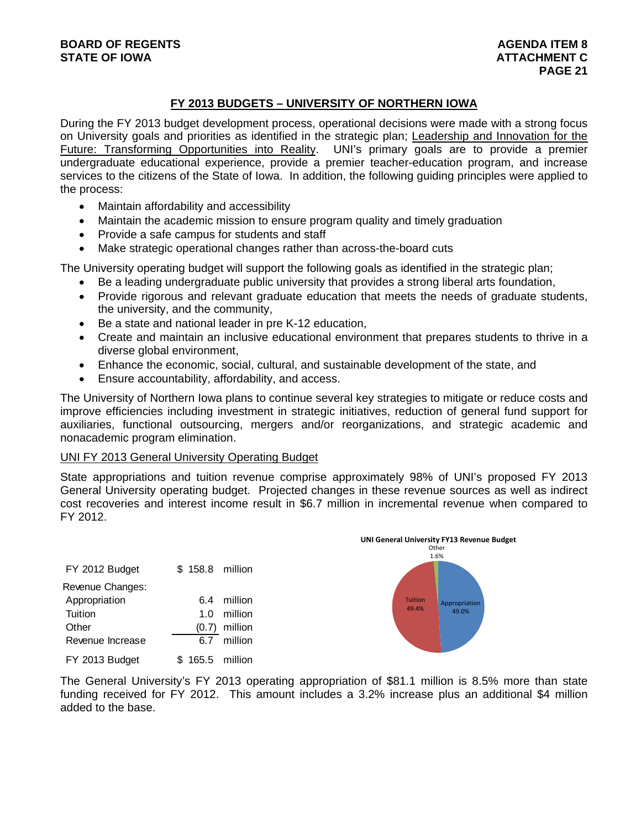### **FY 2013 BUDGETS – UNIVERSITY OF NORTHERN IOWA**

During the FY 2013 budget development process, operational decisions were made with a strong focus on University goals and priorities as identified in the strategic plan; Leadership and Innovation for the Future: Transforming Opportunities into Reality. UNI's primary goals are to provide a premier undergraduate educational experience, provide a premier teacher-education program, and increase services to the citizens of the State of Iowa. In addition, the following guiding principles were applied to the process:

- Maintain affordability and accessibility
- Maintain the academic mission to ensure program quality and timely graduation
- Provide a safe campus for students and staff
- Make strategic operational changes rather than across-the-board cuts

The University operating budget will support the following goals as identified in the strategic plan;

- Be a leading undergraduate public university that provides a strong liberal arts foundation,
- Provide rigorous and relevant graduate education that meets the needs of graduate students, the university, and the community,
- Be a state and national leader in pre K-12 education,
- Create and maintain an inclusive educational environment that prepares students to thrive in a diverse global environment,
- Enhance the economic, social, cultural, and sustainable development of the state, and
- Ensure accountability, affordability, and access.

The University of Northern Iowa plans to continue several key strategies to mitigate or reduce costs and improve efficiencies including investment in strategic initiatives, reduction of general fund support for auxiliaries, functional outsourcing, mergers and/or reorganizations, and strategic academic and nonacademic program elimination.

#### UNI FY 2013 General University Operating Budget

State appropriations and tuition revenue comprise approximately 98% of UNI's proposed FY 2013 General University operating budget. Projected changes in these revenue sources as well as indirect cost recoveries and interest income result in \$6.7 million in incremental revenue when compared to FY 2012.

|                  |             |         | UNI General University FY13 Revenue Budget<br>Other<br>1.6% |
|------------------|-------------|---------|-------------------------------------------------------------|
| FY 2012 Budget   | \$158.8     | million |                                                             |
| Revenue Changes: |             |         |                                                             |
| Appropriation    | 6.4         | million | Tuition<br>Appropriation                                    |
| Tuition          | 1.0         | million | 49.4%<br>49.0%                                              |
| Other            | (0.7)       | million |                                                             |
| Revenue Increase | 6.7         | million |                                                             |
| FY 2013 Budget   | 165.5<br>S. | million |                                                             |

The General University's FY 2013 operating appropriation of \$81.1 million is 8.5% more than state funding received for FY 2012. This amount includes a 3.2% increase plus an additional \$4 million added to the base.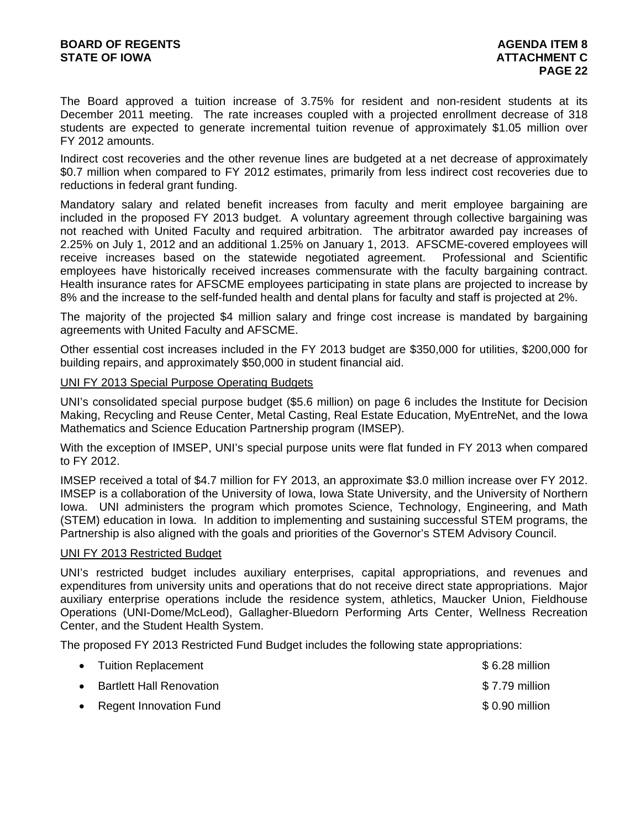The Board approved a tuition increase of 3.75% for resident and non-resident students at its December 2011 meeting. The rate increases coupled with a projected enrollment decrease of 318 students are expected to generate incremental tuition revenue of approximately \$1.05 million over FY 2012 amounts.

Indirect cost recoveries and the other revenue lines are budgeted at a net decrease of approximately \$0.7 million when compared to FY 2012 estimates, primarily from less indirect cost recoveries due to reductions in federal grant funding.

Mandatory salary and related benefit increases from faculty and merit employee bargaining are included in the proposed FY 2013 budget. A voluntary agreement through collective bargaining was not reached with United Faculty and required arbitration. The arbitrator awarded pay increases of 2.25% on July 1, 2012 and an additional 1.25% on January 1, 2013. AFSCME-covered employees will receive increases based on the statewide negotiated agreement. Professional and Scientific employees have historically received increases commensurate with the faculty bargaining contract. Health insurance rates for AFSCME employees participating in state plans are projected to increase by 8% and the increase to the self-funded health and dental plans for faculty and staff is projected at 2%.

The majority of the projected \$4 million salary and fringe cost increase is mandated by bargaining agreements with United Faculty and AFSCME.

Other essential cost increases included in the FY 2013 budget are \$350,000 for utilities, \$200,000 for building repairs, and approximately \$50,000 in student financial aid.

#### UNI FY 2013 Special Purpose Operating Budgets

UNI's consolidated special purpose budget (\$5.6 million) on page 6 includes the Institute for Decision Making, Recycling and Reuse Center, Metal Casting, Real Estate Education, MyEntreNet, and the Iowa Mathematics and Science Education Partnership program (IMSEP).

With the exception of IMSEP, UNI's special purpose units were flat funded in FY 2013 when compared to FY 2012.

IMSEP received a total of \$4.7 million for FY 2013, an approximate \$3.0 million increase over FY 2012. IMSEP is a collaboration of the University of Iowa, Iowa State University, and the University of Northern Iowa. UNI administers the program which promotes Science, Technology, Engineering, and Math (STEM) education in Iowa. In addition to implementing and sustaining successful STEM programs, the Partnership is also aligned with the goals and priorities of the Governor's STEM Advisory Council.

#### UNI FY 2013 Restricted Budget

UNI's restricted budget includes auxiliary enterprises, capital appropriations, and revenues and expenditures from university units and operations that do not receive direct state appropriations. Major auxiliary enterprise operations include the residence system, athletics, Maucker Union, Fieldhouse Operations (UNI-Dome/McLeod), Gallagher-Bluedorn Performing Arts Center, Wellness Recreation Center, and the Student Health System.

The proposed FY 2013 Restricted Fund Budget includes the following state appropriations:

| • Tuition Replacement      | $$6.28$ million |
|----------------------------|-----------------|
| • Bartlett Hall Renovation | \$7.79 million  |
| • Regent Innovation Fund   | $$0.90$ million |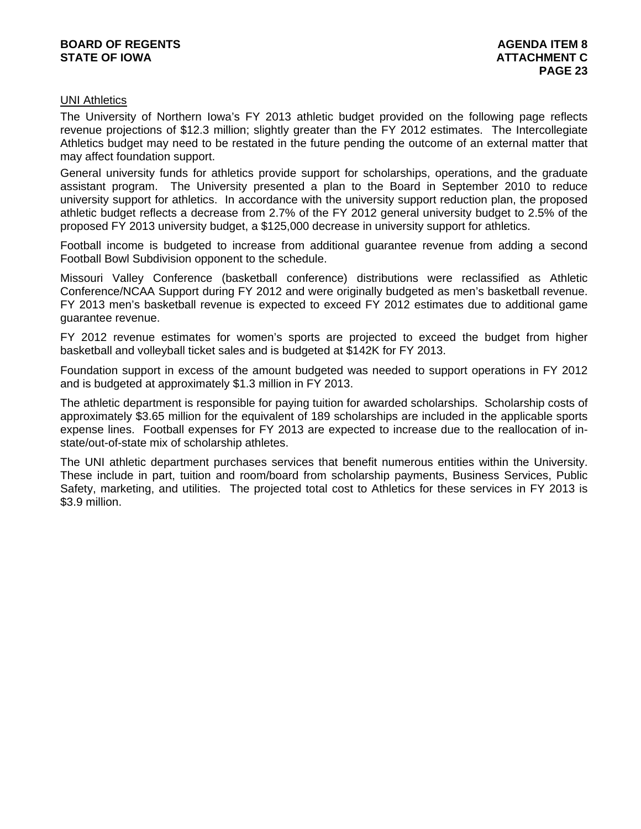#### UNI Athletics

The University of Northern Iowa's FY 2013 athletic budget provided on the following page reflects revenue projections of \$12.3 million; slightly greater than the FY 2012 estimates. The Intercollegiate Athletics budget may need to be restated in the future pending the outcome of an external matter that may affect foundation support.

General university funds for athletics provide support for scholarships, operations, and the graduate assistant program. The University presented a plan to the Board in September 2010 to reduce university support for athletics. In accordance with the university support reduction plan, the proposed athletic budget reflects a decrease from 2.7% of the FY 2012 general university budget to 2.5% of the proposed FY 2013 university budget, a \$125,000 decrease in university support for athletics.

Football income is budgeted to increase from additional guarantee revenue from adding a second Football Bowl Subdivision opponent to the schedule.

Missouri Valley Conference (basketball conference) distributions were reclassified as Athletic Conference/NCAA Support during FY 2012 and were originally budgeted as men's basketball revenue. FY 2013 men's basketball revenue is expected to exceed FY 2012 estimates due to additional game guarantee revenue.

FY 2012 revenue estimates for women's sports are projected to exceed the budget from higher basketball and volleyball ticket sales and is budgeted at \$142K for FY 2013.

Foundation support in excess of the amount budgeted was needed to support operations in FY 2012 and is budgeted at approximately \$1.3 million in FY 2013.

The athletic department is responsible for paying tuition for awarded scholarships. Scholarship costs of approximately \$3.65 million for the equivalent of 189 scholarships are included in the applicable sports expense lines. Football expenses for FY 2013 are expected to increase due to the reallocation of instate/out-of-state mix of scholarship athletes.

The UNI athletic department purchases services that benefit numerous entities within the University. These include in part, tuition and room/board from scholarship payments, Business Services, Public Safety, marketing, and utilities. The projected total cost to Athletics for these services in FY 2013 is \$3.9 million.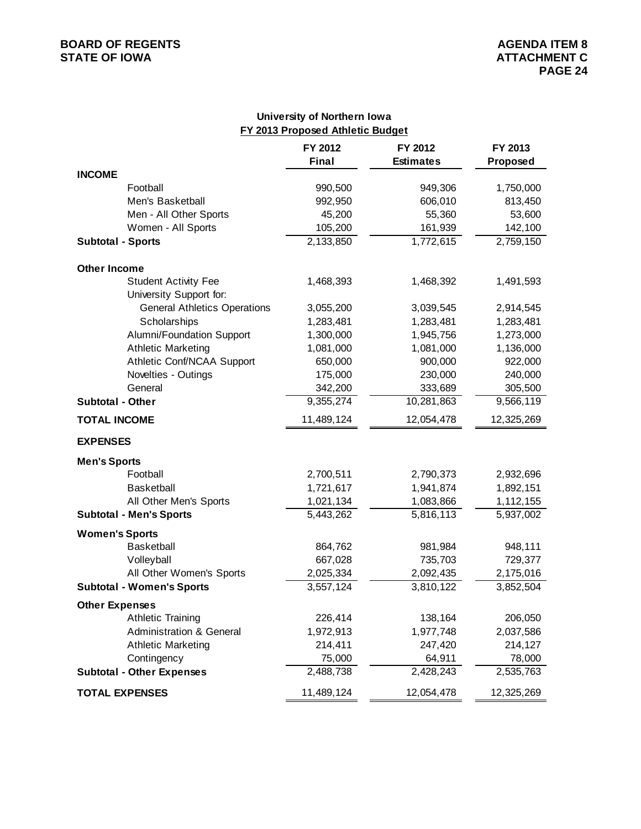## **BOARD OF REGENTS**<br> **BOARD OF REGENTS**<br> **STATE OF IOWA**<br> **ATTACHMENT C**

#### **University of Northern Iowa FY 2013 Proposed Athletic Budget**

|                          |                                     | FY 2012<br>Final | FY 2012<br><b>Estimates</b> | FY 2013<br>Proposed    |
|--------------------------|-------------------------------------|------------------|-----------------------------|------------------------|
| <b>INCOME</b>            |                                     |                  |                             |                        |
|                          | Football                            | 990,500          | 949,306                     | 1,750,000              |
|                          | Men's Basketball                    | 992,950          | 606,010                     | 813,450                |
|                          | Men - All Other Sports              | 45,200           | 55,360                      | 53,600                 |
|                          | Women - All Sports                  | 105,200          | 161,939                     | 142,100                |
| <b>Subtotal - Sports</b> |                                     | 2,133,850        | 1,772,615                   | 2,759,150              |
| <b>Other Income</b>      |                                     |                  |                             |                        |
|                          | <b>Student Activity Fee</b>         | 1,468,393        | 1,468,392                   | 1,491,593              |
|                          | University Support for:             |                  |                             |                        |
|                          | <b>General Athletics Operations</b> | 3,055,200        | 3,039,545                   | 2,914,545              |
|                          | Scholarships                        | 1,283,481        | 1,283,481                   | 1,283,481              |
|                          | Alumni/Foundation Support           | 1,300,000        | 1,945,756                   | 1,273,000              |
|                          | <b>Athletic Marketing</b>           | 1,081,000        | 1,081,000                   | 1,136,000              |
|                          | Athletic Conf/NCAA Support          | 650,000          | 900,000                     | 922,000                |
|                          | Novelties - Outings                 | 175,000          | 230,000                     | 240,000                |
|                          | General                             | 342,200          | 333,689                     | 305,500                |
| Subtotal - Other         |                                     | 9,355,274        | 10,281,863                  | 9,566,119              |
| <b>TOTAL INCOME</b>      |                                     | 11,489,124       | 12,054,478                  | 12,325,269             |
| <b>EXPENSES</b>          |                                     |                  |                             |                        |
| <b>Men's Sports</b>      |                                     |                  |                             |                        |
|                          | Football                            | 2,700,511        | 2,790,373                   | 2,932,696              |
|                          | <b>Basketball</b>                   | 1,721,617        | 1,941,874                   | 1,892,151              |
|                          | All Other Men's Sports              | 1,021,134        | 1,083,866                   | 1,112,155              |
|                          | <b>Subtotal - Men's Sports</b>      | 5,443,262        | 5,816,113                   | $\overline{5,937,002}$ |
| <b>Women's Sports</b>    |                                     |                  |                             |                        |
|                          | <b>Basketball</b>                   | 864,762          | 981,984                     | 948,111                |
|                          | Volleyball                          | 667,028          | 735,703                     | 729,377                |
|                          | All Other Women's Sports            | 2,025,334        | 2,092,435                   | 2,175,016              |
|                          | <b>Subtotal - Women's Sports</b>    | 3,557,124        | 3,810,122                   | 3,852,504              |
| <b>Other Expenses</b>    |                                     |                  |                             |                        |
|                          | <b>Athletic Training</b>            | 226,414          | 138,164                     | 206,050                |
|                          | <b>Administration &amp; General</b> | 1,972,913        | 1,977,748                   | 2,037,586              |
|                          | <b>Athletic Marketing</b>           | 214,411          | 247,420                     | 214,127                |
|                          | Contingency                         | 75,000           | 64,911                      | 78,000                 |
|                          | <b>Subtotal - Other Expenses</b>    | 2,488,738        | 2,428,243                   | 2,535,763              |
| <b>TOTAL EXPENSES</b>    |                                     | 11,489,124       | 12,054,478                  | 12,325,269             |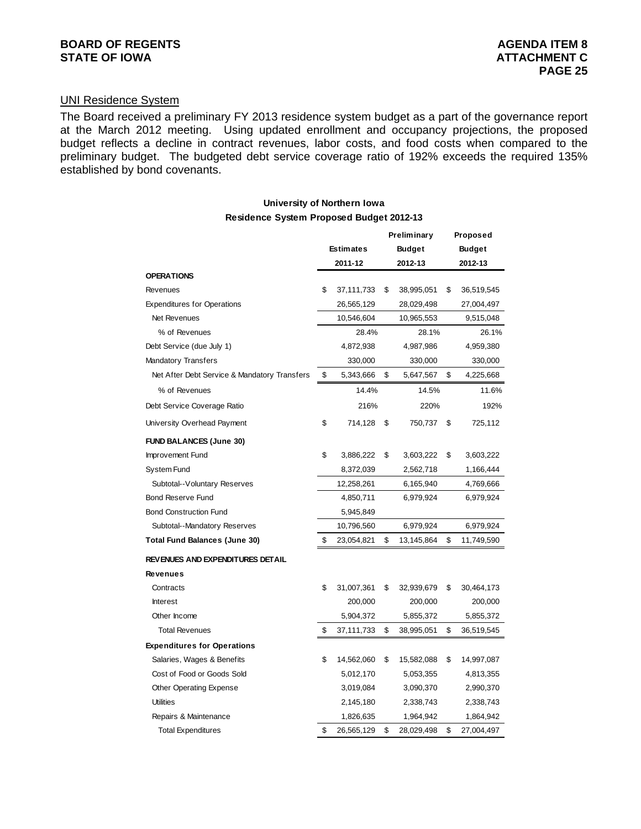### UNI Residence System

The Board received a preliminary FY 2013 residence system budget as a part of the governance report at the March 2012 meeting. Using updated enrollment and occupancy projections, the proposed budget reflects a decline in contract revenues, labor costs, and food costs when compared to the preliminary budget. The budgeted debt service coverage ratio of 192% exceeds the required 135% established by bond covenants.

#### **Preliminary Proposed University of Northern Iowa Residence System Proposed Budget 2012-13**

|                                              |                  |         | гтеннинан у   |    | <b>FIUPUSEU</b> |  |
|----------------------------------------------|------------------|---------|---------------|----|-----------------|--|
|                                              | <b>Estimates</b> |         | <b>Budget</b> |    | <b>Budget</b>   |  |
|                                              | 2011-12          | 2012-13 |               |    | 2012-13         |  |
| <b>OPERATIONS</b>                            |                  |         |               |    |                 |  |
| Revenues                                     | \$<br>37,111,733 | \$      | 38,995,051    | \$ | 36,519,545      |  |
| <b>Expenditures for Operations</b>           | 26,565,129       |         | 28,029,498    |    | 27,004,497      |  |
| Net Revenues                                 | 10,546,604       |         | 10,965,553    |    | 9,515,048       |  |
| % of Revenues                                | 28.4%            |         | 28.1%         |    | 26.1%           |  |
| Debt Service (due July 1)                    | 4,872,938        |         | 4,987,986     |    | 4,959,380       |  |
| <b>Mandatory Transfers</b>                   | 330,000          |         | 330,000       |    | 330,000         |  |
| Net After Debt Service & Mandatory Transfers | \$<br>5,343,666  | \$      | 5,647,567     | \$ | 4,225,668       |  |
| % of Revenues                                | 14.4%            |         | 14.5%         |    | 11.6%           |  |
| Debt Service Coverage Ratio                  | 216%             |         | 220%          |    | 192%            |  |
| University Overhead Payment                  | \$<br>714,128    | \$      | 750,737       | \$ | 725,112         |  |
| <b>FUND BALANCES (June 30)</b>               |                  |         |               |    |                 |  |
| Improvement Fund                             | \$<br>3,886,222  | \$      | 3,603,222     | \$ | 3,603,222       |  |
| <b>System Fund</b>                           | 8,372,039        |         | 2,562,718     |    | 1,166,444       |  |
| Subtotal--Voluntary Reserves                 | 12,258,261       |         | 6,165,940     |    | 4,769,666       |  |
| <b>Bond Reserve Fund</b>                     | 4,850,711        |         | 6,979,924     |    | 6,979,924       |  |
| <b>Bond Construction Fund</b>                | 5,945,849        |         |               |    |                 |  |
| Subtotal--Mandatory Reserves                 | 10,796,560       |         | 6,979,924     |    | 6,979,924       |  |
| Total Fund Balances (June 30)                | \$<br>23,054,821 | \$      | 13,145,864    | \$ | 11,749,590      |  |
| REVENUES AND EXPENDITURES DETAIL             |                  |         |               |    |                 |  |
| Revenues                                     |                  |         |               |    |                 |  |
| Contracts                                    | \$<br>31,007,361 | \$      | 32,939,679    | \$ | 30,464,173      |  |
| <b>Interest</b>                              | 200,000          |         | 200,000       |    | 200,000         |  |
| Other Income                                 | 5,904,372        |         | 5,855,372     |    | 5,855,372       |  |
| <b>Total Revenues</b>                        | \$<br>37,111,733 | \$      | 38,995,051    | \$ | 36,519,545      |  |
| <b>Expenditures for Operations</b>           |                  |         |               |    |                 |  |
| Salaries, Wages & Benefits                   | \$<br>14,562,060 | \$      | 15,582,088    | \$ | 14,997,087      |  |
| Cost of Food or Goods Sold                   | 5,012,170        |         | 5,053,355     |    | 4,813,355       |  |
| <b>Other Operating Expense</b>               | 3,019,084        |         | 3,090,370     |    | 2,990,370       |  |
| <b>Utilities</b>                             | 2,145,180        |         | 2,338,743     |    | 2,338,743       |  |
| Repairs & Maintenance                        | 1,826,635        |         | 1,964,942     |    | 1,864,942       |  |
| <b>Total Expenditures</b>                    | \$<br>26,565,129 | \$      | 28,029,498    | \$ | 27,004,497      |  |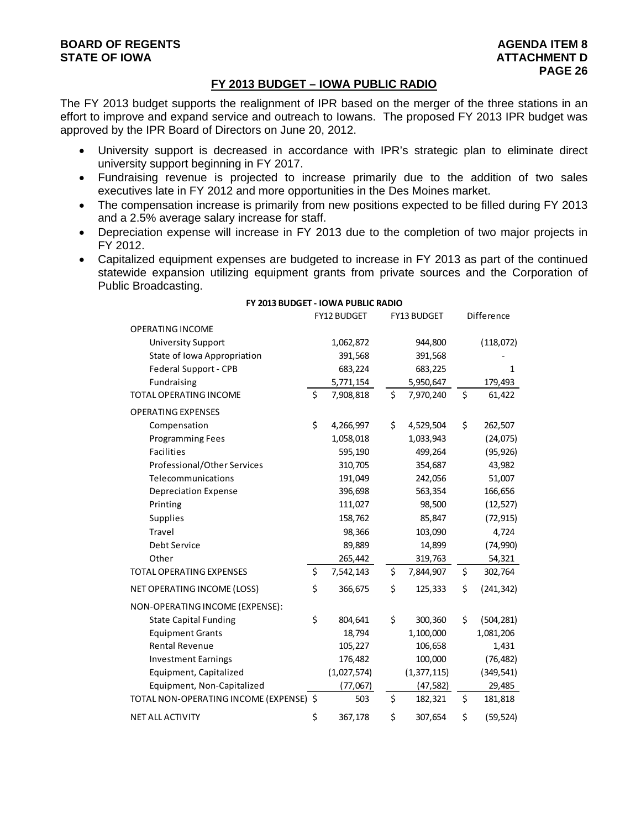#### **FY 2013 BUDGET – IOWA PUBLIC RADIO**

The FY 2013 budget supports the realignment of IPR based on the merger of the three stations in an effort to improve and expand service and outreach to Iowans. The proposed FY 2013 IPR budget was approved by the IPR Board of Directors on June 20, 2012.

- University support is decreased in accordance with IPR's strategic plan to eliminate direct university support beginning in FY 2017.
- Fundraising revenue is projected to increase primarily due to the addition of two sales executives late in FY 2012 and more opportunities in the Des Moines market.
- The compensation increase is primarily from new positions expected to be filled during FY 2013 and a 2.5% average salary increase for staff.
- Depreciation expense will increase in FY 2013 due to the completion of two major projects in FY 2012.
- Capitalized equipment expenses are budgeted to increase in FY 2013 as part of the continued statewide expansion utilizing equipment grants from private sources and the Corporation of Public Broadcasting.

|                                         | FY12 BUDGET     | FY13 BUDGET     | Difference       |
|-----------------------------------------|-----------------|-----------------|------------------|
| <b>OPERATING INCOME</b>                 |                 |                 |                  |
| <b>University Support</b>               | 1,062,872       | 944,800         | (118,072)        |
| State of Iowa Appropriation             | 391,568         | 391,568         |                  |
| Federal Support - CPB                   | 683,224         | 683,225         | 1                |
| Fundraising                             | 5,771,154       | 5,950,647       | 179,493          |
| TOTAL OPERATING INCOME                  | \$<br>7,908,818 | \$<br>7,970,240 | \$<br>61,422     |
| <b>OPERATING EXPENSES</b>               |                 |                 |                  |
| Compensation                            | \$<br>4,266,997 | \$<br>4,529,504 | \$<br>262,507    |
| <b>Programming Fees</b>                 | 1,058,018       | 1,033,943       | (24, 075)        |
| Facilities                              | 595,190         | 499,264         | (95, 926)        |
| Professional/Other Services             | 310,705         | 354,687         | 43,982           |
| Telecommunications                      | 191,049         | 242,056         | 51,007           |
| <b>Depreciation Expense</b>             | 396,698         | 563,354         | 166,656          |
| Printing                                | 111,027         | 98,500          | (12, 527)        |
| <b>Supplies</b>                         | 158,762         | 85,847          | (72, 915)        |
| Travel                                  | 98,366          | 103,090         | 4,724            |
| Debt Service                            | 89,889          | 14,899          | (74, 990)        |
| Other                                   | 265,442         | 319,763         | 54,321           |
| <b>TOTAL OPERATING EXPENSES</b>         | \$<br>7,542,143 | \$<br>7,844,907 | \$<br>302,764    |
| NET OPERATING INCOME (LOSS)             | \$<br>366,675   | \$<br>125,333   | \$<br>(241, 342) |
| NON-OPERATING INCOME (EXPENSE):         |                 |                 |                  |
| <b>State Capital Funding</b>            | \$<br>804,641   | \$<br>300,360   | \$<br>(504, 281) |
| <b>Equipment Grants</b>                 | 18,794          | 1,100,000       | 1,081,206        |
| <b>Rental Revenue</b>                   | 105,227         | 106,658         | 1,431            |
| <b>Investment Earnings</b>              | 176,482         | 100,000         | (76, 482)        |
| Equipment, Capitalized                  | (1,027,574)     | (1, 377, 115)   | (349, 541)       |
| Equipment, Non-Capitalized              | (77,067)        | (47, 582)       | 29,485           |
| TOTAL NON-OPERATING INCOME (EXPENSE) \$ | 503             | \$<br>182,321   | \$<br>181,818    |
| <b>NET ALL ACTIVITY</b>                 | \$<br>367,178   | \$<br>307,654   | \$<br>(59, 524)  |

#### **FY 2013 BUDGET ‐ IOWA PUBLIC RADIO**